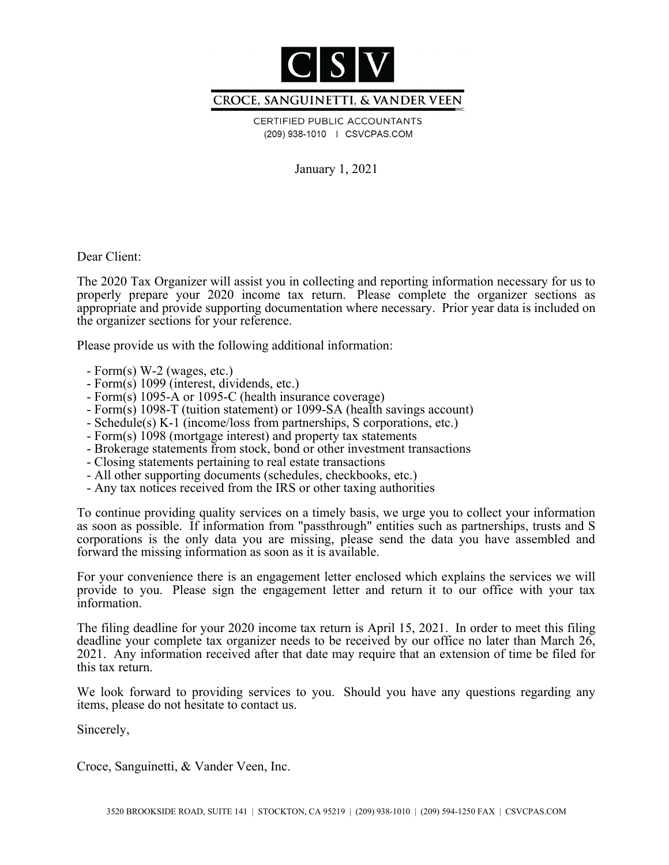

### CROCE, SANGUINETTI, & VANDER VEEN

CERTIFIED PUBLIC ACCOUNTANTS (209) 938-1010 | CSVCPAS.COM

January 1, 2021

Dear Client:

The 2020 Tax Organizer will assist you in collecting and reporting information necessary for us to properly prepare your 2020 income tax return. Please complete the organizer sections as appropriate and provide supporting documentation where necessary. Prior year data is included on the organizer sections for your reference.

Please provide us with the following additional information:

- Form(s) W-2 (wages, etc.)
- Form(s) 1099 (interest, dividends, etc.)
- Form(s) 1095-A or 1095-C (health insurance coverage)
- Form(s) 1098-T (tuition statement) or 1099-SA (health savings account)
- Schedule(s) K-1 (income/loss from partnerships, S corporations, etc.)
- Form(s) 1098 (mortgage interest) and property tax statements
- Brokerage statements from stock, bond or other investment transactions
- Closing statements pertaining to real estate transactions
- All other supporting documents (schedules, checkbooks, etc.)
- Any tax notices received from the IRS or other taxing authorities

To continue providing quality services on a timely basis, we urge you to collect your information as soon as possible. If information from "passthrough" entities such as partnerships, trusts and S corporations is the only data you are missing, please send the data you have assembled and forward the missing information as soon as it is available.

For your convenience there is an engagement letter enclosed which explains the services we will provide to you. Please sign the engagement letter and return it to our office with your tax information.

The filing deadline for your 2020 income tax return is April 15, 2021. In order to meet this filing deadline your complete tax organizer needs to be received by our office no later than March 26, 2021. Any information received after that date may require that an extension of time be filed for this tax return.

We look forward to providing services to you. Should you have any questions regarding any items, please do not hesitate to contact us.

Sincerely,

Croce, Sanguinetti, & Vander Veen, Inc.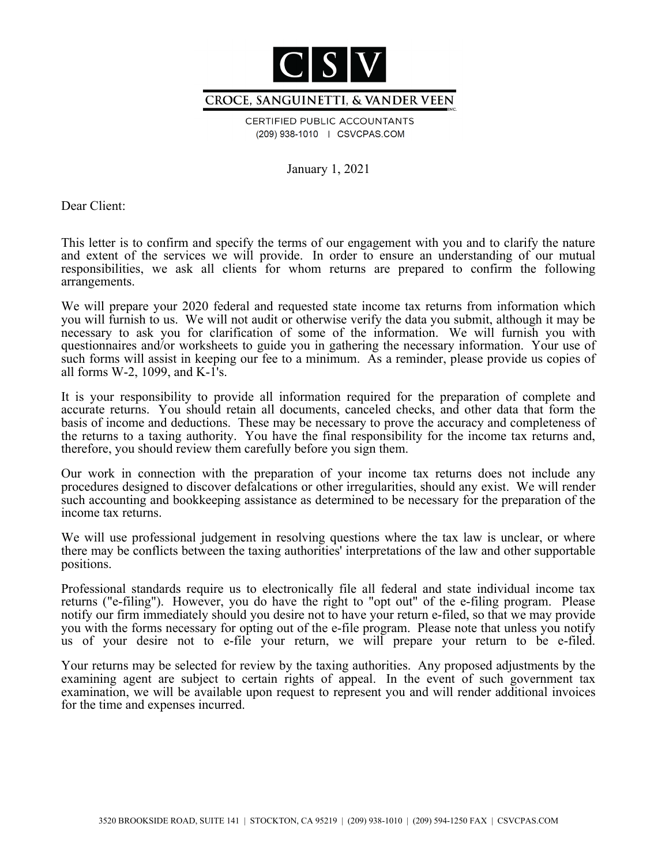

#### CROCE, SANGUINETTI, & VANDER VEEN

CERTIFIED PUBLIC ACCOUNTANTS (209) 938-1010 | CSVCPAS.COM

January 1, 2021

Dear Client:

This letter is to confirm and specify the terms of our engagement with you and to clarify the nature and extent of the services we will provide. In order to ensure an understanding of our mutual responsibilities, we ask all clients for whom returns are prepared to confirm the following arrangements.

We will prepare your 2020 federal and requested state income tax returns from information which you will furnish to us. We will not audit or otherwise verify the data you submit, although it may be necessary to ask you for clarification of some of the information. We will furnish you with questionnaires and/or worksheets to guide you in gathering the necessary information. Your use of such forms will assist in keeping our fee to a minimum. As a reminder, please provide us copies of all forms W-2, 1099, and  $K-I's$ .

It is your responsibility to provide all information required for the preparation of complete and accurate returns. You should retain all documents, canceled checks, and other data that form the basis of income and deductions. These may be necessary to prove the accuracy and completeness of the returns to a taxing authority. You have the final responsibility for the income tax returns and, therefore, you should review them carefully before you sign them.

Our work in connection with the preparation of your income tax returns does not include any procedures designed to discover defalcations or other irregularities, should any exist. We will render such accounting and bookkeeping assistance as determined to be necessary for the preparation of the income tax returns.

We will use professional judgement in resolving questions where the tax law is unclear, or where there may be conflicts between the taxing authorities' interpretations of the law and other supportable positions.

Professional standards require us to electronically file all federal and state individual income tax returns ("e-filing"). However, you do have the right to "opt out" of the e-filing program. Please notify our firm immediately should you desire not to have your return e-filed, so that we may provide you with the forms necessary for opting out of the e-file program. Please note that unless you notify us of your desire not to e-file your return, we will prepare your return to be e-filed.

Your returns may be selected for review by the taxing authorities. Any proposed adjustments by the examining agent are subject to certain rights of appeal. In the event of such government tax examination, we will be available upon request to represent you and will render additional invoices for the time and expenses incurred.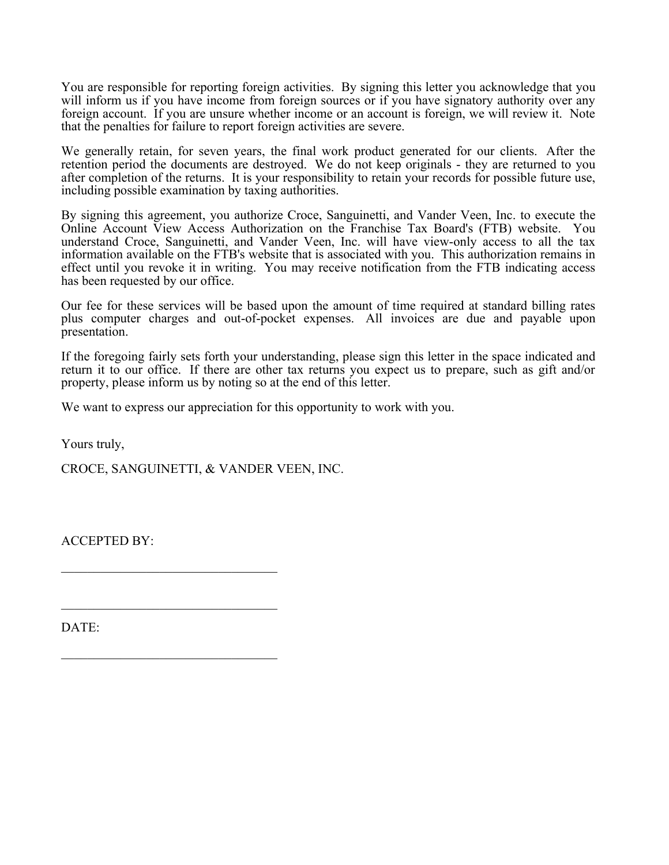You are responsible for reporting foreign activities. By signing this letter you acknowledge that you will inform us if you have income from foreign sources or if you have signatory authority over any foreign account. If you are unsure whether income or an account is foreign, we will review it. Note that the penalties for failure to report foreign activities are severe.

We generally retain, for seven years, the final work product generated for our clients. After the retention period the documents are destroyed. We do not keep originals - they are returned to you after completion of the returns. It is your responsibility to retain your records for possible future use, including possible examination by taxing authorities.

By signing this agreement, you authorize Croce, Sanguinetti, and Vander Veen, Inc. to execute the Online Account View Access Authorization on the Franchise Tax Board's (FTB) website. You understand Croce, Sanguinetti, and Vander Veen, Inc. will have view-only access to all the tax information available on the FTB's website that is associated with you. This authorization remains in effect until you revoke it in writing. You may receive notification from the FTB indicating access has been requested by our office.

Our fee for these services will be based upon the amount of time required at standard billing rates plus computer charges and out-of-pocket expenses. All invoices are due and payable upon presentation.

If the foregoing fairly sets forth your understanding, please sign this letter in the space indicated and return it to our office. If there are other tax returns you expect us to prepare, such as gift and/or property, please inform us by noting so at the end of this letter.

We want to express our appreciation for this opportunity to work with you.

Yours truly,

CROCE, SANGUINETTI, & VANDER VEEN, INC.

 $\mathcal{L}_\mathcal{L}$ 

 $\mathcal{L}_\mathcal{L}$ 

ACCEPTED BY:

DATE: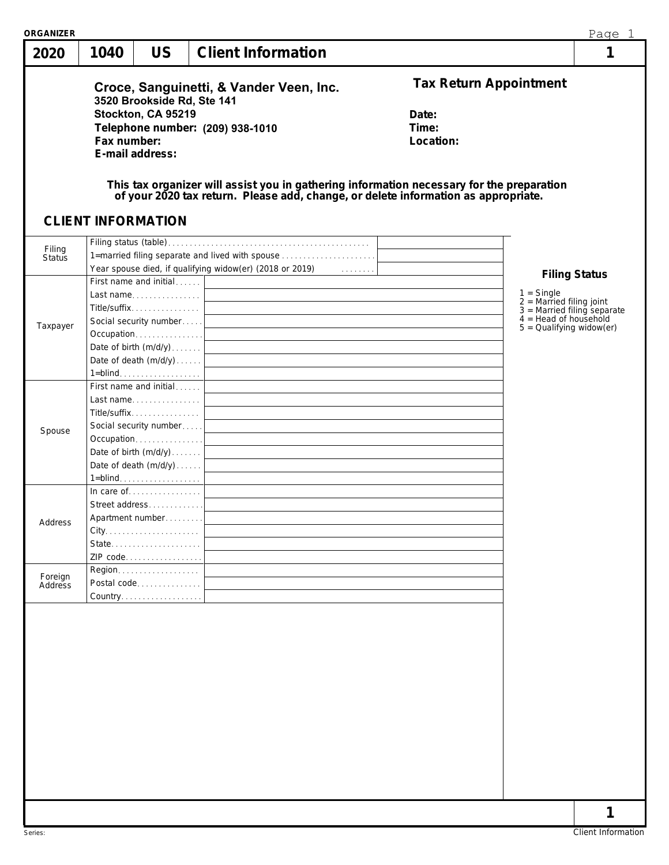| 2020                    | 1040        | <b>US</b>                                                                                                                | <b>Client Information</b>                                                                                                                                                                                                                                   |                                                              | 1                                                                                                                                                            |
|-------------------------|-------------|--------------------------------------------------------------------------------------------------------------------------|-------------------------------------------------------------------------------------------------------------------------------------------------------------------------------------------------------------------------------------------------------------|--------------------------------------------------------------|--------------------------------------------------------------------------------------------------------------------------------------------------------------|
|                         | Fax number: | 3520 Brookside Rd, Ste 141<br>Stockton, CA 95219<br>E-mail address:<br><b>CLIENT INFORMATION</b>                         | Croce, Sanguinetti, & Vander Veen, Inc.<br>Telephone number: (209) 938-1010<br>This tax organizer will assist you in gathering information necessary for the preparation of your 2020 tax return. Please add, change, or delete information as appropriate. | <b>Tax Return Appointment</b><br>Date:<br>Time:<br>Location: |                                                                                                                                                              |
| Filing<br><b>Status</b> |             |                                                                                                                          | 1=married filing separate and lived with spouse                                                                                                                                                                                                             |                                                              |                                                                                                                                                              |
| Taxpayer                |             | First name and initial<br>Last name  <br>Title/suffix<br>Occupation <br>Date of birth (m/d/y)<br>Date of death $(m/d/y)$ |                                                                                                                                                                                                                                                             |                                                              | <b>Filing Status</b><br>$1 =$ Single<br>$2 =$ Married filing joint<br>$3 =$ Married filing separate<br>$4 =$ Head of household<br>$5 =$ Qualifying widow(er) |
| Spouse                  |             | First name and initial<br>Last name<br>Title/suffix<br>Date of birth (m/d/y)                                             |                                                                                                                                                                                                                                                             |                                                              |                                                                                                                                                              |
| Address                 |             | In care of $\ldots$<br>Street address<br>Apartment number<br>State<br>ZIP code                                           | 1=blind. <u>.</u> $\Box$                                                                                                                                                                                                                                    |                                                              |                                                                                                                                                              |
| Foreign<br>Address      |             | Region.<br>Postal code<br>Country.                                                                                       |                                                                                                                                                                                                                                                             |                                                              |                                                                                                                                                              |
|                         |             |                                                                                                                          |                                                                                                                                                                                                                                                             |                                                              |                                                                                                                                                              |
|                         |             |                                                                                                                          |                                                                                                                                                                                                                                                             |                                                              |                                                                                                                                                              |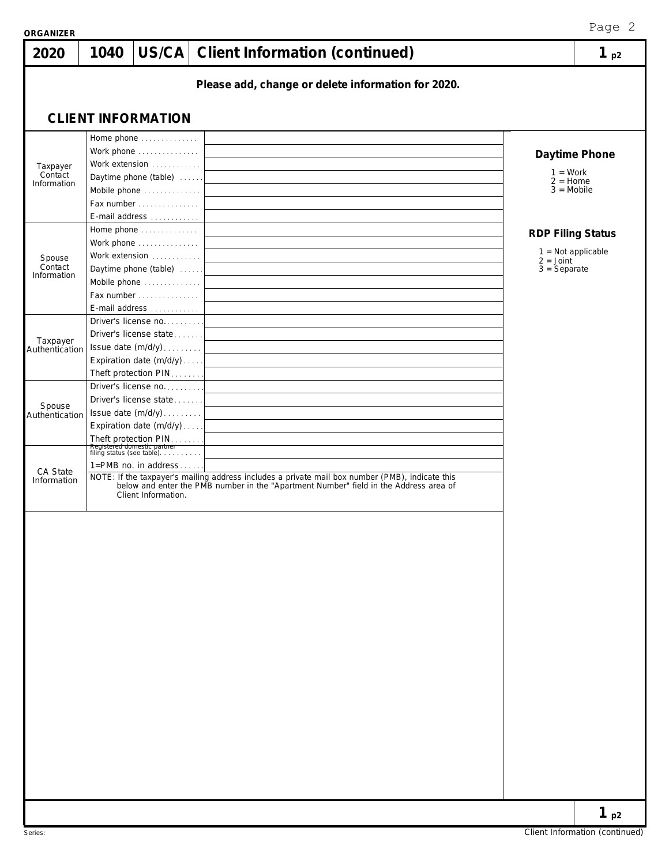| <b>ORGANIZER</b>           |      |                                                                                  |                                                                                                                                                                                       | Page 2                                     |
|----------------------------|------|----------------------------------------------------------------------------------|---------------------------------------------------------------------------------------------------------------------------------------------------------------------------------------|--------------------------------------------|
| 2020                       | 1040 |                                                                                  | US/CA   Client Information (continued)                                                                                                                                                | $1_{p2}$                                   |
|                            |      |                                                                                  | Please add, change or delete information for 2020.                                                                                                                                    |                                            |
|                            |      |                                                                                  |                                                                                                                                                                                       |                                            |
|                            |      | <b>CLIENT INFORMATION</b>                                                        |                                                                                                                                                                                       |                                            |
|                            |      | Home phone                                                                       |                                                                                                                                                                                       |                                            |
|                            |      | Work phone<br>Work extension                                                     |                                                                                                                                                                                       | Daytime Phone                              |
| Taxpayer<br>Contact        |      | Daytime phone (table)                                                            | $1 = Work$                                                                                                                                                                            |                                            |
| Information                |      | Mobile phone                                                                     | $2 =$ Home<br>$3 = Mobile$                                                                                                                                                            |                                            |
|                            |      | Fax number                                                                       |                                                                                                                                                                                       |                                            |
|                            |      | E-mail address                                                                   |                                                                                                                                                                                       |                                            |
|                            |      | Home phone                                                                       |                                                                                                                                                                                       | <b>RDP Filing Status</b>                   |
|                            |      | Work phone<br>Work extension                                                     |                                                                                                                                                                                       | $1 = Not applicable$                       |
| Spouse<br>Contact          |      | Daytime phone (table)                                                            | $2 = Joint$<br>$3 =$ Separate                                                                                                                                                         |                                            |
| Information                |      | Mobile phone                                                                     |                                                                                                                                                                                       |                                            |
|                            |      | Fax number $\ldots$ , $\ldots$                                                   |                                                                                                                                                                                       |                                            |
|                            |      | E-mail address                                                                   |                                                                                                                                                                                       |                                            |
|                            |      | Driver's license no<br>Driver's license state                                    |                                                                                                                                                                                       |                                            |
| Taxpayer<br>Authentication |      | Issue date (m/d/y)                                                               |                                                                                                                                                                                       |                                            |
|                            |      | Expiration date (m/d/y)                                                          |                                                                                                                                                                                       |                                            |
|                            |      | Theft protection PIN                                                             |                                                                                                                                                                                       |                                            |
|                            |      | Driver's license no                                                              |                                                                                                                                                                                       |                                            |
| Spouse                     |      | Driver's license state                                                           |                                                                                                                                                                                       |                                            |
| Authentication             |      | Issue date (m/d/y)<br>Expiration date (m/d/y)                                    |                                                                                                                                                                                       |                                            |
|                            |      |                                                                                  |                                                                                                                                                                                       |                                            |
|                            |      | Theft protection PIN<br>Registered domestic partner<br>filing status (see table) |                                                                                                                                                                                       |                                            |
| CA State                   |      | 1=PMB no. in address                                                             |                                                                                                                                                                                       |                                            |
| Information                |      | Client Information.                                                              | NOTE: If the taxpayer's mailing address includes a private mail box number (PMB), indicate this below and enter the PMB number in the "Apartment Number" field in the Address area of |                                            |
|                            |      |                                                                                  |                                                                                                                                                                                       |                                            |
|                            |      |                                                                                  |                                                                                                                                                                                       |                                            |
|                            |      |                                                                                  |                                                                                                                                                                                       |                                            |
|                            |      |                                                                                  |                                                                                                                                                                                       |                                            |
|                            |      |                                                                                  |                                                                                                                                                                                       |                                            |
|                            |      |                                                                                  |                                                                                                                                                                                       |                                            |
|                            |      |                                                                                  |                                                                                                                                                                                       |                                            |
|                            |      |                                                                                  |                                                                                                                                                                                       |                                            |
|                            |      |                                                                                  |                                                                                                                                                                                       |                                            |
|                            |      |                                                                                  |                                                                                                                                                                                       |                                            |
|                            |      |                                                                                  |                                                                                                                                                                                       |                                            |
|                            |      |                                                                                  |                                                                                                                                                                                       |                                            |
|                            |      |                                                                                  |                                                                                                                                                                                       |                                            |
|                            |      |                                                                                  |                                                                                                                                                                                       |                                            |
|                            |      |                                                                                  |                                                                                                                                                                                       |                                            |
|                            |      |                                                                                  |                                                                                                                                                                                       |                                            |
|                            |      |                                                                                  |                                                                                                                                                                                       |                                            |
|                            |      |                                                                                  |                                                                                                                                                                                       |                                            |
|                            |      |                                                                                  |                                                                                                                                                                                       |                                            |
|                            |      |                                                                                  |                                                                                                                                                                                       | $1_{p2}$<br>Client Information (continued) |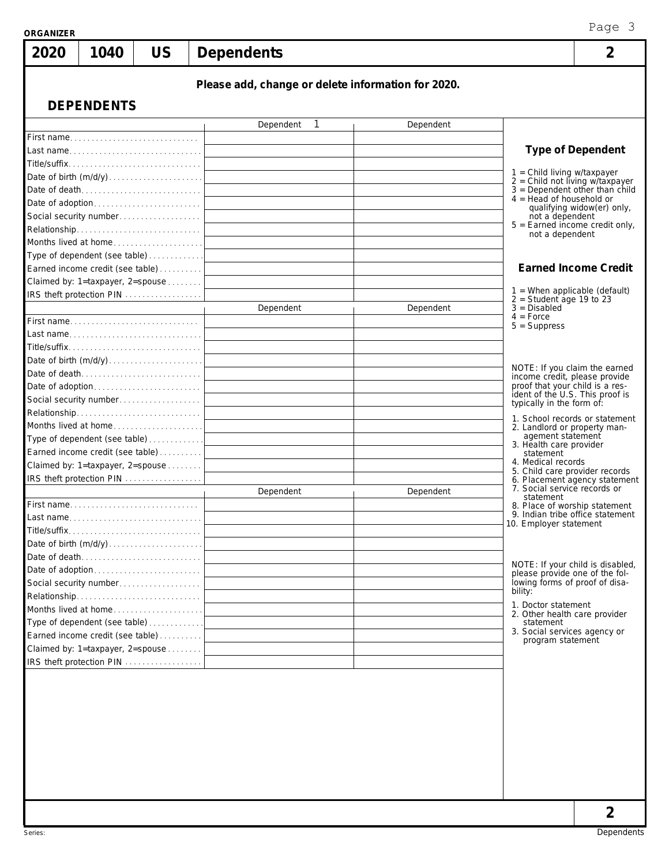| <b>ORGANIZER</b>                 |                                        |           |                                                    |           | Page 3                                                                                                 |
|----------------------------------|----------------------------------------|-----------|----------------------------------------------------|-----------|--------------------------------------------------------------------------------------------------------|
| 2020                             | 1040                                   | <b>US</b> | <b>Dependents</b>                                  |           | 2                                                                                                      |
|                                  |                                        |           | Please add, change or delete information for 2020. |           |                                                                                                        |
|                                  | <b>DEPENDENTS</b>                      |           |                                                    |           |                                                                                                        |
|                                  |                                        |           | Dependent<br>1                                     | Dependent |                                                                                                        |
|                                  |                                        |           |                                                    |           |                                                                                                        |
|                                  |                                        |           |                                                    |           | <b>Type of Dependent</b>                                                                               |
|                                  | Title/suffix                           |           |                                                    |           |                                                                                                        |
|                                  |                                        |           |                                                    |           | $1 =$ Child living w/taxpayer<br>$2 =$ Child not living w/taxpayer<br>$3 =$ Dependent other than child |
|                                  | Date of death<br>Date of adoption      |           |                                                    |           | $4 =$ Head of household or                                                                             |
|                                  | Social security number                 |           |                                                    |           | qualifying widow(er) only,<br>not a dependent                                                          |
|                                  | Relationship                           |           |                                                    |           | $5 =$ Earned income credit only,                                                                       |
|                                  | Months lived at home                   |           |                                                    |           | not a dependent                                                                                        |
|                                  | Type of dependent (see table)          |           |                                                    |           |                                                                                                        |
|                                  | Earned income credit (see table)       |           |                                                    |           | <b>Earned Income Credit</b>                                                                            |
|                                  | Claimed by: 1=taxpayer, 2=spouse       |           |                                                    |           |                                                                                                        |
|                                  | IRS theft protection PIN               |           |                                                    |           | $1$ = When applicable (default)<br>$2 = Student$ age 19 to 23                                          |
|                                  |                                        |           | Dependent                                          | Dependent | $3 = Disabled$<br>$4 = Force$                                                                          |
|                                  | First name                             |           |                                                    |           | $5 =$ Suppress                                                                                         |
|                                  | Last name                              |           |                                                    |           |                                                                                                        |
|                                  |                                        |           |                                                    |           |                                                                                                        |
|                                  | Date of birth (m/d/y)<br>Date of death |           |                                                    |           | NOTE: If you claim the earned                                                                          |
|                                  |                                        |           |                                                    |           | income credit, please provide<br>proof that your child is a res-                                       |
|                                  | Social security number                 |           |                                                    |           | ident of the U.S. This proof is                                                                        |
|                                  | Relationship                           |           |                                                    |           | typically in the form of:                                                                              |
|                                  | Months lived at home                   |           |                                                    |           | 1. School records or statement<br>2. Landlord or property man-                                         |
|                                  | Type of dependent (see table)          |           |                                                    |           | agement statement<br>3. Health care provider                                                           |
|                                  | Earned income credit (see table)       |           |                                                    |           | statement                                                                                              |
|                                  | Claimed by: 1=taxpayer, 2=spouse       |           |                                                    |           | 4. Medical records<br>5. Child care provider records                                                   |
|                                  | IRS theft protection PIN               |           |                                                    |           | 6. Placement agency statement                                                                          |
|                                  |                                        |           | Dependent                                          | Dependent | 7. Social service records or<br>statement                                                              |
|                                  | First name                             |           |                                                    |           | 8. Place of worship statement<br>9. Indian tribe office statement                                      |
|                                  | Last name                              |           |                                                    |           | 10. Employer statement                                                                                 |
|                                  | Title/suffix<br>Date of birth (m/d/y)  |           |                                                    |           |                                                                                                        |
|                                  | Date of death                          |           |                                                    |           |                                                                                                        |
|                                  |                                        |           |                                                    |           | NOTE: If your child is disabled,                                                                       |
|                                  | Social security number                 |           |                                                    |           | please provide one of the fol-<br>lowing forms of proof of disa-                                       |
|                                  | Relationship                           |           |                                                    |           | bility:                                                                                                |
|                                  | Months lived at home                   |           |                                                    |           | 1. Doctor statement<br>2. Other health care provider                                                   |
|                                  | Type of dependent (see table)          |           |                                                    |           | statement                                                                                              |
|                                  | Earned income credit (see table)       |           |                                                    |           | 3. Social services agency or<br>program statement                                                      |
|                                  |                                        |           |                                                    |           |                                                                                                        |
| Claimed by: 1=taxpayer, 2=spouse | IRS theft protection PIN               |           |                                                    |           |                                                                                                        |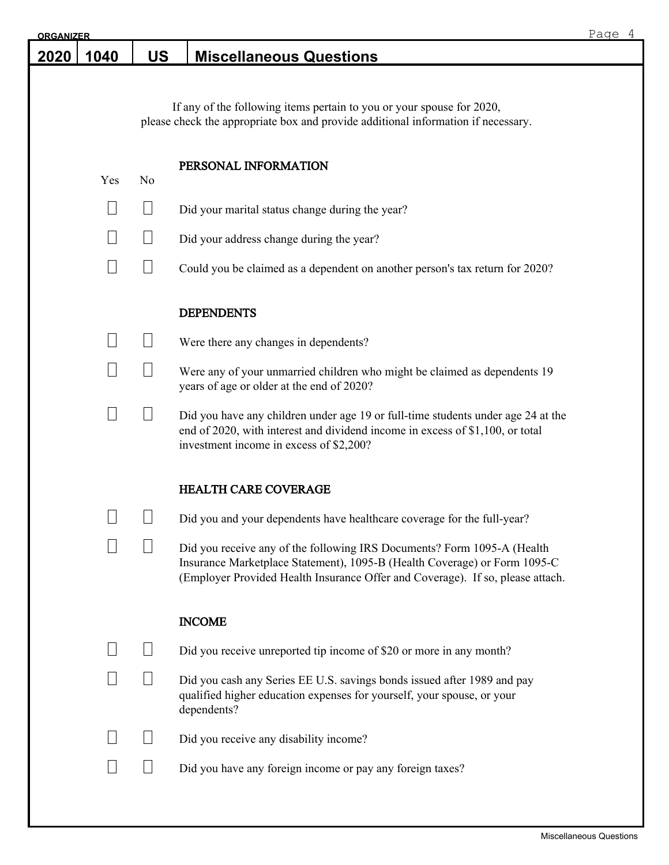| <b>ORGANIZER</b> |      |           |                                                                                                                                                                                                                                        | Page 4 |
|------------------|------|-----------|----------------------------------------------------------------------------------------------------------------------------------------------------------------------------------------------------------------------------------------|--------|
| 2020             | 1040 | <b>US</b> | <b>Miscellaneous Questions</b>                                                                                                                                                                                                         |        |
|                  |      |           |                                                                                                                                                                                                                                        |        |
|                  |      |           | If any of the following items pertain to you or your spouse for 2020,<br>please check the appropriate box and provide additional information if necessary.                                                                             |        |
|                  | Yes  | No        | PERSONAL INFORMATION                                                                                                                                                                                                                   |        |
|                  |      |           | Did your marital status change during the year?                                                                                                                                                                                        |        |
|                  |      |           | Did your address change during the year?                                                                                                                                                                                               |        |
|                  |      |           | Could you be claimed as a dependent on another person's tax return for 2020?                                                                                                                                                           |        |
|                  |      |           | <b>DEPENDENTS</b>                                                                                                                                                                                                                      |        |
|                  |      |           | Were there any changes in dependents?                                                                                                                                                                                                  |        |
|                  |      |           | Were any of your unmarried children who might be claimed as dependents 19<br>years of age or older at the end of 2020?                                                                                                                 |        |
|                  |      |           | Did you have any children under age 19 or full-time students under age 24 at the<br>end of 2020, with interest and dividend income in excess of \$1,100, or total<br>investment income in excess of \$2,200?                           |        |
|                  |      |           | <b>HEALTH CARE COVERAGE</b>                                                                                                                                                                                                            |        |
|                  |      |           | Did you and your dependents have healthcare coverage for the full-year?                                                                                                                                                                |        |
|                  |      |           | Did you receive any of the following IRS Documents? Form 1095-A (Health<br>Insurance Marketplace Statement), 1095-B (Health Coverage) or Form 1095-C<br>(Employer Provided Health Insurance Offer and Coverage). If so, please attach. |        |
|                  |      |           | <b>INCOME</b>                                                                                                                                                                                                                          |        |
|                  |      |           | Did you receive unreported tip income of \$20 or more in any month?                                                                                                                                                                    |        |
|                  |      |           | Did you cash any Series EE U.S. savings bonds issued after 1989 and pay<br>qualified higher education expenses for yourself, your spouse, or your<br>dependents?                                                                       |        |
|                  |      |           | Did you receive any disability income?                                                                                                                                                                                                 |        |
|                  |      |           | Did you have any foreign income or pay any foreign taxes?                                                                                                                                                                              |        |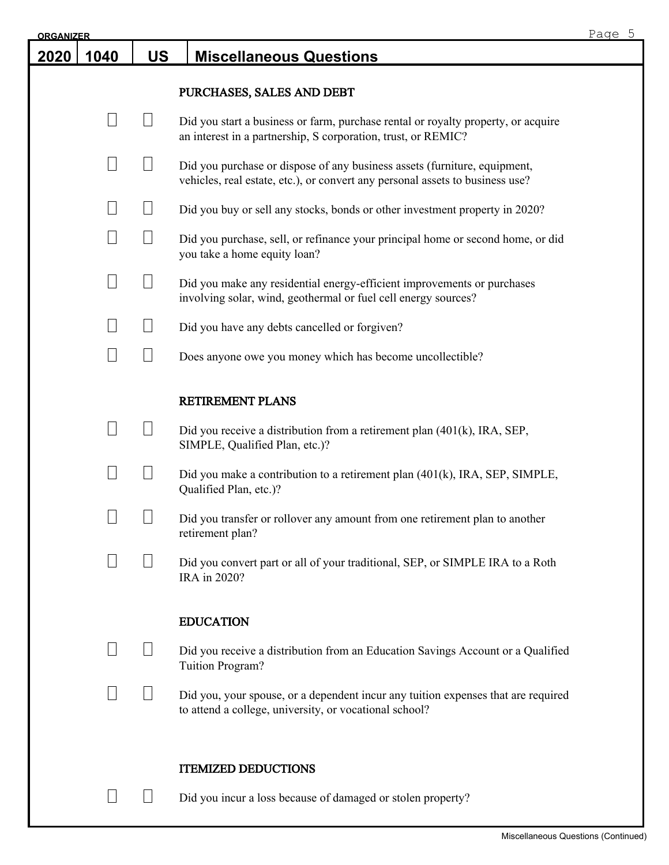| <b>ORGANIZER</b> |                 |           |                                                                                                                                                            | Page 5 |
|------------------|-----------------|-----------|------------------------------------------------------------------------------------------------------------------------------------------------------------|--------|
| 2020             | 1040            | <b>US</b> | <b>Miscellaneous Questions</b>                                                                                                                             |        |
|                  |                 |           | PURCHASES, SALES AND DEBT                                                                                                                                  |        |
|                  |                 |           | Did you start a business or farm, purchase rental or royalty property, or acquire<br>an interest in a partnership, S corporation, trust, or REMIC?         |        |
|                  |                 |           | Did you purchase or dispose of any business assets (furniture, equipment,<br>vehicles, real estate, etc.), or convert any personal assets to business use? |        |
|                  |                 |           | Did you buy or sell any stocks, bonds or other investment property in 2020?                                                                                |        |
|                  |                 |           | Did you purchase, sell, or refinance your principal home or second home, or did<br>you take a home equity loan?                                            |        |
|                  | $\vert \ \vert$ |           | Did you make any residential energy-efficient improvements or purchases<br>involving solar, wind, geothermal or fuel cell energy sources?                  |        |
|                  |                 |           | Did you have any debts cancelled or forgiven?                                                                                                              |        |
|                  | $\Box$          |           | Does anyone owe you money which has become uncollectible?                                                                                                  |        |
|                  |                 |           | RETIREMENT PLANS                                                                                                                                           |        |
|                  |                 |           | Did you receive a distribution from a retirement plan $(401(k), \text{IRA}, \text{SEP},$<br>SIMPLE, Qualified Plan, etc.)?                                 |        |
|                  |                 |           | Did you make a contribution to a retirement plan (401(k), IRA, SEP, SIMPLE,<br>Qualified Plan, etc.)?                                                      |        |
|                  |                 |           | Did you transfer or rollover any amount from one retirement plan to another<br>retirement plan?                                                            |        |
|                  |                 |           | Did you convert part or all of your traditional, SEP, or SIMPLE IRA to a Roth<br>IRA in 2020?                                                              |        |
|                  |                 |           | <b>EDUCATION</b>                                                                                                                                           |        |
|                  |                 |           | Did you receive a distribution from an Education Savings Account or a Qualified<br>Tuition Program?                                                        |        |
|                  |                 |           | Did you, your spouse, or a dependent incur any tuition expenses that are required<br>to attend a college, university, or vocational school?                |        |
|                  |                 |           | <b>ITEMIZED DEDUCTIONS</b>                                                                                                                                 |        |
|                  |                 |           | Did you incur a loss because of damaged or stolen property?                                                                                                |        |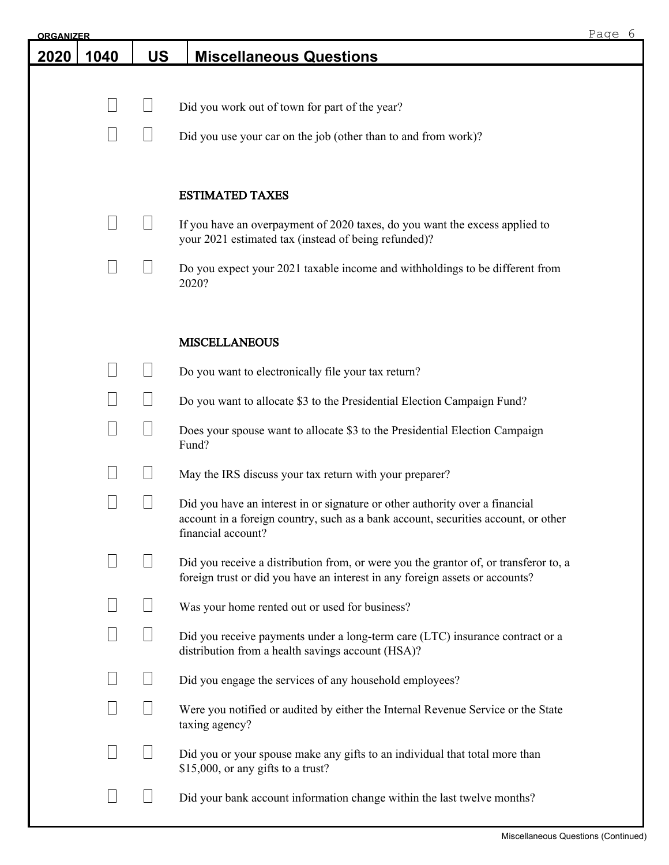| <b>ORGANIZER</b> |      |                   |                                                                                                                                                                                          | Page 6 |
|------------------|------|-------------------|------------------------------------------------------------------------------------------------------------------------------------------------------------------------------------------|--------|
| 2020             | 1040 | <b>US</b>         | <b>Miscellaneous Questions</b>                                                                                                                                                           |        |
|                  |      |                   |                                                                                                                                                                                          |        |
|                  |      |                   | Did you work out of town for part of the year?                                                                                                                                           |        |
|                  |      |                   | Did you use your car on the job (other than to and from work)?                                                                                                                           |        |
|                  |      |                   | <b>ESTIMATED TAXES</b>                                                                                                                                                                   |        |
|                  |      |                   | If you have an overpayment of 2020 taxes, do you want the excess applied to<br>your 2021 estimated tax (instead of being refunded)?                                                      |        |
|                  |      |                   | Do you expect your 2021 taxable income and withholdings to be different from<br>2020?                                                                                                    |        |
|                  |      |                   | <b>MISCELLANEOUS</b>                                                                                                                                                                     |        |
|                  |      |                   | Do you want to electronically file your tax return?                                                                                                                                      |        |
|                  |      |                   | Do you want to allocate \$3 to the Presidential Election Campaign Fund?                                                                                                                  |        |
|                  |      | $\vert \ \ \vert$ | Does your spouse want to allocate \$3 to the Presidential Election Campaign<br>Fund?                                                                                                     |        |
|                  |      |                   | May the IRS discuss your tax return with your preparer?                                                                                                                                  |        |
|                  |      |                   | Did you have an interest in or signature or other authority over a financial<br>account in a foreign country, such as a bank account, securities account, or other<br>financial account? |        |
|                  |      |                   | Did you receive a distribution from, or were you the grantor of, or transferor to, a<br>foreign trust or did you have an interest in any foreign assets or accounts?                     |        |
|                  |      | $\Box$            | Was your home rented out or used for business?                                                                                                                                           |        |
|                  |      | $\Box$            | Did you receive payments under a long-term care (LTC) insurance contract or a<br>distribution from a health savings account (HSA)?                                                       |        |
|                  |      |                   | Did you engage the services of any household employees?                                                                                                                                  |        |
|                  |      |                   | Were you notified or audited by either the Internal Revenue Service or the State<br>taxing agency?                                                                                       |        |
|                  |      |                   | Did you or your spouse make any gifts to an individual that total more than<br>\$15,000, or any gifts to a trust?                                                                        |        |
|                  |      |                   | Did your bank account information change within the last twelve months?                                                                                                                  |        |
|                  |      |                   |                                                                                                                                                                                          |        |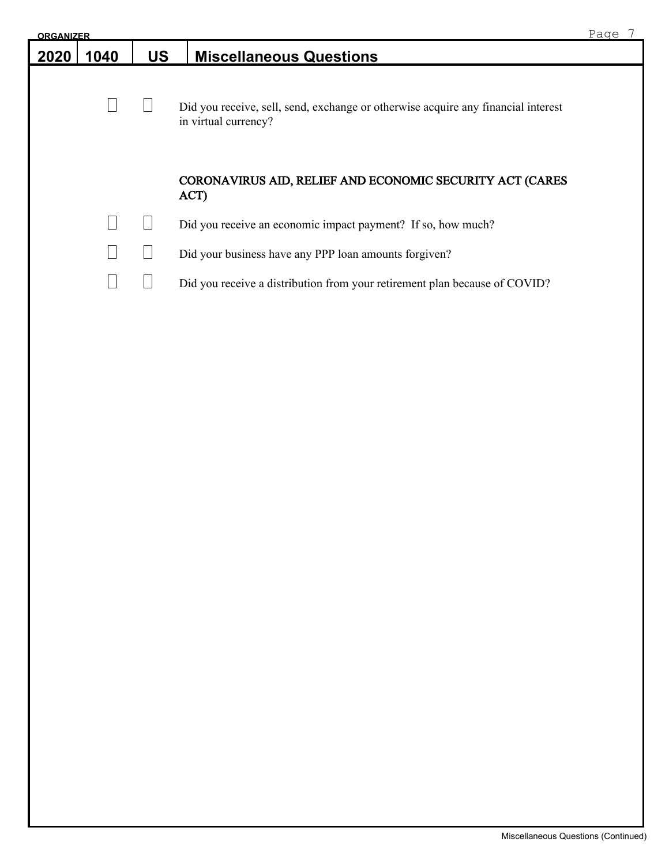| <b>ORGANIZER</b> |      |           |                                                                                                           | Page |
|------------------|------|-----------|-----------------------------------------------------------------------------------------------------------|------|
| 2020             | 1040 | <b>US</b> | <b>Miscellaneous Questions</b>                                                                            |      |
|                  |      |           | Did you receive, sell, send, exchange or otherwise acquire any financial interest<br>in virtual currency? |      |
|                  |      |           | CORONAVIRUS AID, RELIEF AND ECONOMIC SECURITY ACT (CARES<br>ACT)                                          |      |
|                  |      |           | Did you receive an economic impact payment? If so, how much?                                              |      |
|                  |      |           | Did your business have any PPP loan amounts for given?                                                    |      |
|                  |      |           | Did you receive a distribution from your retirement plan because of COVID?                                |      |
|                  |      |           |                                                                                                           |      |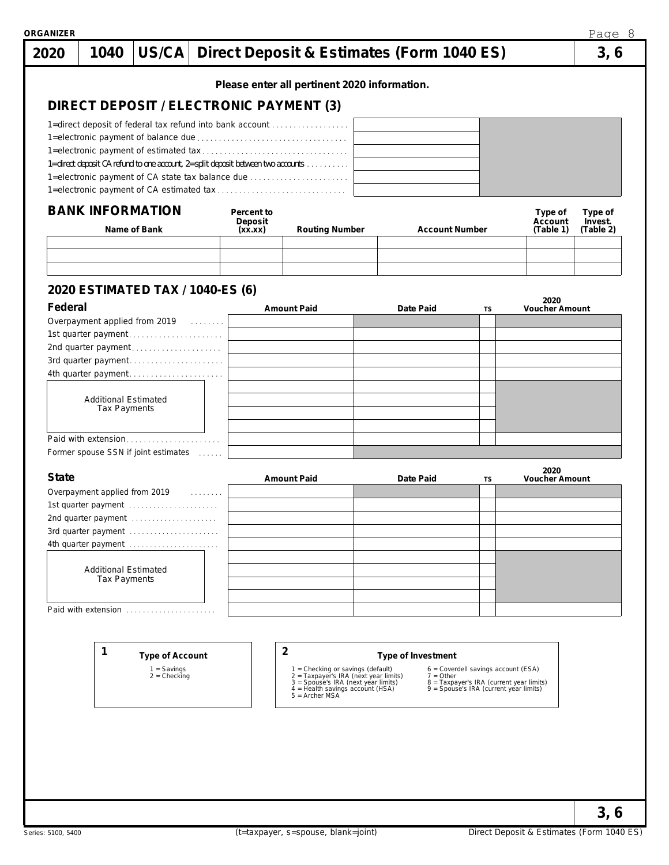|              |                                                                                 |                        |            | Please enter all pertinent 2020 information.                               |                       |                                                                                    |                               |           |
|--------------|---------------------------------------------------------------------------------|------------------------|------------|----------------------------------------------------------------------------|-----------------------|------------------------------------------------------------------------------------|-------------------------------|-----------|
|              | DIRECT DEPOSIT / ELECTRONIC PAYMENT (3)                                         |                        |            |                                                                            |                       |                                                                                    |                               |           |
|              | 1=direct deposit of federal tax refund into bank account                        |                        |            |                                                                            |                       |                                                                                    |                               |           |
|              |                                                                                 |                        |            |                                                                            |                       |                                                                                    |                               |           |
|              | 1=direct deposit CA refund to one account, 2=split deposit between two accounts |                        |            |                                                                            |                       |                                                                                    |                               |           |
|              | 1=electronic payment of CA state tax balance due                                |                        |            |                                                                            |                       |                                                                                    |                               |           |
|              |                                                                                 |                        |            |                                                                            |                       |                                                                                    |                               |           |
|              | <b>BANK INFORMATION</b>                                                         |                        | Percent to |                                                                            |                       |                                                                                    | Type of                       | Type of   |
|              |                                                                                 |                        | Deposit    |                                                                            |                       |                                                                                    | Account                       | Invest.   |
|              | Name of Bank                                                                    |                        | (xx.xx)    | <b>Routing Number</b>                                                      | <b>Account Number</b> |                                                                                    | (Table 1)                     | (Table 2) |
|              |                                                                                 |                        |            |                                                                            |                       |                                                                                    |                               |           |
|              |                                                                                 |                        |            |                                                                            |                       |                                                                                    |                               |           |
|              | 2020 ESTIMATED TAX / 1040-ES (6)                                                |                        |            |                                                                            |                       |                                                                                    |                               |           |
| Federal      |                                                                                 |                        |            | <b>Amount Paid</b>                                                         | Date Paid             | TS                                                                                 | 2020<br><b>Voucher Amount</b> |           |
|              | Overpayment applied from 2019 [1]                                               |                        |            |                                                                            |                       |                                                                                    |                               |           |
|              | 1st quarter payment                                                             |                        |            |                                                                            |                       |                                                                                    |                               |           |
|              | 2nd quarter payment                                                             |                        |            |                                                                            |                       |                                                                                    |                               |           |
|              | 3rd quarter payment<br>4th quarter payment                                      |                        |            |                                                                            |                       |                                                                                    |                               |           |
|              |                                                                                 |                        |            |                                                                            |                       |                                                                                    |                               |           |
|              | <b>Additional Estimated</b>                                                     |                        |            |                                                                            |                       |                                                                                    |                               |           |
|              | <b>Tax Payments</b>                                                             |                        |            |                                                                            |                       |                                                                                    |                               |           |
|              |                                                                                 |                        |            |                                                                            |                       |                                                                                    |                               |           |
|              | Paid with extension                                                             |                        |            |                                                                            |                       |                                                                                    |                               |           |
|              | Former spouse SSN if joint estimates                                            |                        |            |                                                                            |                       |                                                                                    |                               |           |
| <b>State</b> |                                                                                 |                        |            | <b>Amount Paid</b>                                                         | Date Paid             | TS                                                                                 | 2020<br><b>Voucher Amount</b> |           |
|              |                                                                                 |                        |            |                                                                            |                       |                                                                                    |                               |           |
|              | 1st quarter payment                                                             |                        |            |                                                                            |                       |                                                                                    |                               |           |
|              | 2nd quarter payment                                                             |                        |            |                                                                            |                       |                                                                                    |                               |           |
|              | 3rd quarter payment                                                             |                        |            |                                                                            |                       |                                                                                    |                               |           |
|              | 4th quarter payment                                                             |                        |            |                                                                            |                       |                                                                                    |                               |           |
|              | <b>Additional Estimated</b>                                                     |                        |            |                                                                            |                       |                                                                                    |                               |           |
|              | <b>Tax Payments</b>                                                             |                        |            |                                                                            |                       |                                                                                    |                               |           |
|              |                                                                                 |                        |            |                                                                            |                       |                                                                                    |                               |           |
|              | Paid with extension                                                             |                        |            |                                                                            |                       |                                                                                    |                               |           |
|              |                                                                                 |                        |            |                                                                            |                       |                                                                                    |                               |           |
|              |                                                                                 |                        |            |                                                                            |                       |                                                                                    |                               |           |
|              | 1                                                                               | <b>Type of Account</b> |            | $\overline{c}$                                                             | Type of Investment    |                                                                                    |                               |           |
|              | $1 =$ Savings                                                                   | $2 =$ Checking         |            | 1 = Checking or savings (default)<br>2 = Taxpayer's IRA (next year limits) | $7 = Other$           | 6 = Coverdell savings account (ESA)                                                |                               |           |
|              |                                                                                 |                        |            | 3 = Spouse's IRA (next year limits)<br>4 = Health savings account (HSA)    |                       | 8 = Taxpayer's IRA (current year limits)<br>9 = Spouse's IRA (current year limits) |                               |           |
|              |                                                                                 |                        |            | $5 =$ Archer MSA                                                           |                       |                                                                                    |                               |           |
|              |                                                                                 |                        |            |                                                                            |                       |                                                                                    |                               |           |
|              |                                                                                 |                        |            |                                                                            |                       |                                                                                    |                               |           |
|              |                                                                                 |                        |            |                                                                            |                       |                                                                                    |                               |           |
|              |                                                                                 |                        |            |                                                                            |                       |                                                                                    |                               |           |
|              |                                                                                 |                        |            |                                                                            |                       |                                                                                    |                               |           |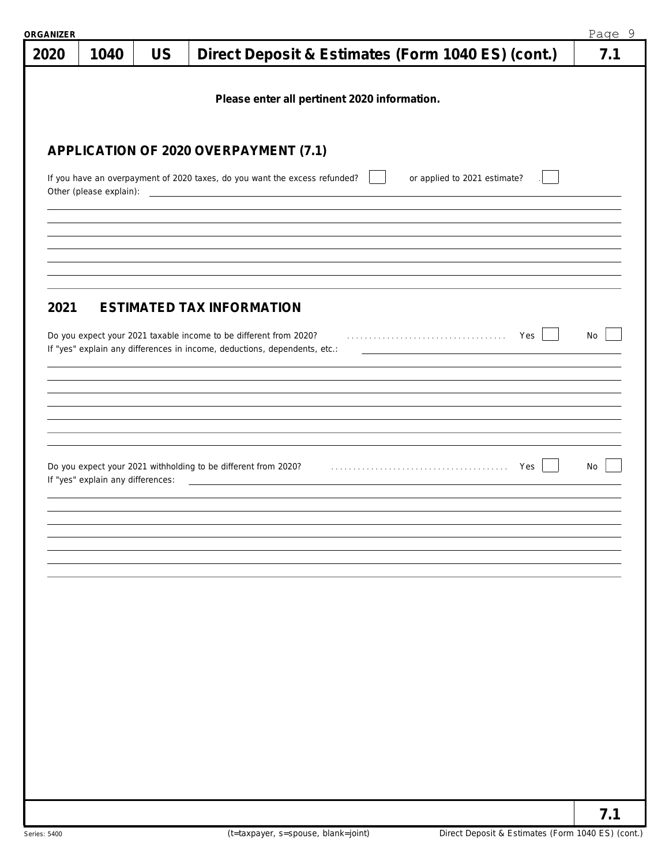| ORGANIZER |                                   |           |                                                                                                                                                | Page 9 |
|-----------|-----------------------------------|-----------|------------------------------------------------------------------------------------------------------------------------------------------------|--------|
| 2020      | 1040                              | <b>US</b> | Direct Deposit & Estimates (Form 1040 ES) (cont.)                                                                                              | 7.1    |
|           |                                   |           |                                                                                                                                                |        |
|           |                                   |           | Please enter all pertinent 2020 information.                                                                                                   |        |
|           |                                   |           |                                                                                                                                                |        |
|           |                                   |           | APPLICATION OF 2020 OVERPAYMENT (7.1)                                                                                                          |        |
|           |                                   |           |                                                                                                                                                |        |
|           | Other (please explain):           |           | If you have an overpayment of 2020 taxes, do you want the excess refunded?<br>or applied to 2021 estimate?                                     |        |
|           |                                   |           |                                                                                                                                                |        |
|           |                                   |           |                                                                                                                                                |        |
|           |                                   |           |                                                                                                                                                |        |
|           |                                   |           |                                                                                                                                                |        |
| 2021      |                                   |           | <b>ESTIMATED TAX INFORMATION</b>                                                                                                               |        |
|           |                                   |           |                                                                                                                                                |        |
|           |                                   |           | Do you expect your 2021 taxable income to be different from 2020?<br>If "yes" explain any differences in income, deductions, dependents, etc.: | No     |
|           |                                   |           |                                                                                                                                                |        |
|           |                                   |           |                                                                                                                                                |        |
|           |                                   |           |                                                                                                                                                |        |
|           |                                   |           |                                                                                                                                                |        |
|           |                                   |           |                                                                                                                                                |        |
|           | If "yes" explain any differences: |           | Do you expect your 2021 withholding to be different from 2020? [1] with an intervent with the Session of the Ves                               | No     |
|           |                                   |           |                                                                                                                                                |        |
|           |                                   |           |                                                                                                                                                |        |
|           |                                   |           |                                                                                                                                                |        |
|           |                                   |           |                                                                                                                                                |        |
|           |                                   |           |                                                                                                                                                |        |
|           |                                   |           |                                                                                                                                                |        |
|           |                                   |           |                                                                                                                                                |        |
|           |                                   |           |                                                                                                                                                |        |
|           |                                   |           |                                                                                                                                                |        |
|           |                                   |           |                                                                                                                                                |        |
|           |                                   |           |                                                                                                                                                |        |
|           |                                   |           |                                                                                                                                                |        |
|           |                                   |           |                                                                                                                                                |        |
|           |                                   |           |                                                                                                                                                |        |
|           |                                   |           |                                                                                                                                                |        |
|           |                                   |           |                                                                                                                                                | 7.1    |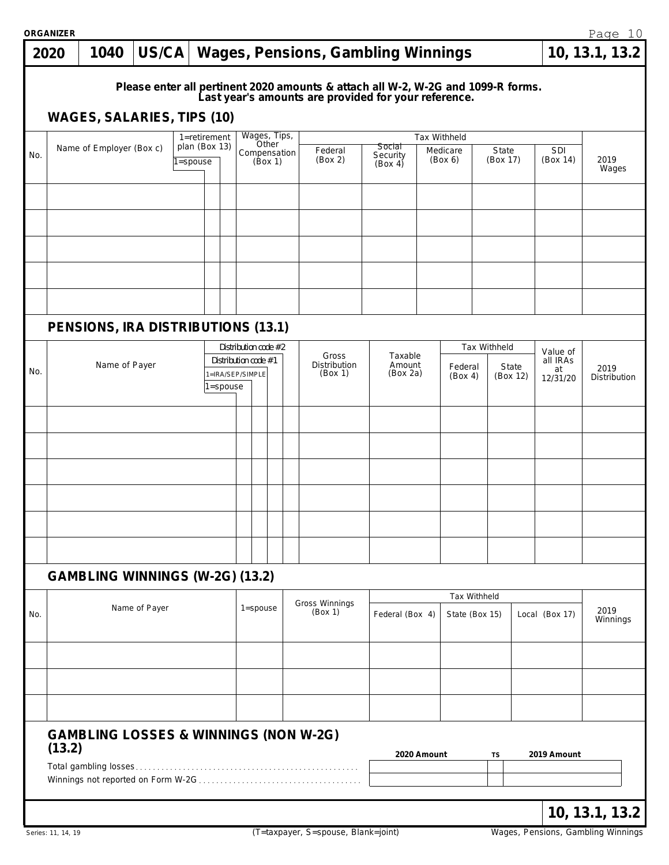|     | <b>ORGANIZER</b> |                                                  |               |                          |          |                                                                  |                  |              |                                                                                                                                          |                                      |             |                                       |                          |       |                                        | Page 10              |
|-----|------------------|--------------------------------------------------|---------------|--------------------------|----------|------------------------------------------------------------------|------------------|--------------|------------------------------------------------------------------------------------------------------------------------------------------|--------------------------------------|-------------|---------------------------------------|--------------------------|-------|----------------------------------------|----------------------|
|     | 2020             | 1040                                             | US/CA         |                          |          |                                                                  |                  |              | <b>Wages, Pensions, Gambling Winnings</b>                                                                                                |                                      |             |                                       |                          |       |                                        | 10, 13.1, 13.2       |
|     |                  | <b>WAGES, SALARIES, TIPS (10)</b>                |               |                          |          |                                                                  |                  |              | Please enter all pertinent 2020 amounts & attach all W-2, W-2G and 1099-R forms.<br>Last year's amounts are provided for your reference. |                                      |             |                                       |                          |       |                                        |                      |
|     |                  |                                                  |               | 1=retirement             |          |                                                                  |                  | Wages, Tips, |                                                                                                                                          |                                      |             | Tax Withheld                          |                          |       |                                        |                      |
| No. |                  | Name of Employer (Box c)                         |               | plan (Box 13)<br>=spouse |          |                                                                  | Other<br>(Box 1) | Compensation | Federal<br>(Box 2)                                                                                                                       | <b>Social</b><br>Security<br>(Box 4) |             | Medicare<br>(Box 6)                   | State<br>(Box 17)        |       | <b>SDI</b><br>(Box 14)                 | 2019<br>Wages        |
|     |                  |                                                  |               |                          |          |                                                                  |                  |              |                                                                                                                                          |                                      |             |                                       |                          |       |                                        |                      |
|     |                  |                                                  |               |                          |          |                                                                  |                  |              |                                                                                                                                          |                                      |             |                                       |                          |       |                                        |                      |
|     |                  |                                                  |               |                          |          |                                                                  |                  |              |                                                                                                                                          |                                      |             |                                       |                          |       |                                        |                      |
|     |                  |                                                  |               |                          |          |                                                                  |                  |              |                                                                                                                                          |                                      |             |                                       |                          |       |                                        |                      |
|     |                  | PENSIONS, IRA DISTRIBUTIONS (13.1)               |               |                          |          |                                                                  |                  |              |                                                                                                                                          |                                      |             |                                       |                          |       |                                        |                      |
| No. |                  | Name of Payer                                    |               |                          | l=spouse | Distribution code #2<br>Distribution code #1<br>1=IRA/SEP/SIMPLE |                  |              | Gross<br>Distribution<br>(Box 1)                                                                                                         | Taxable<br>Amount<br>(Box 2a)        |             | Federal<br>(Box 4)                    | Tax Withheld<br>(Box 12) | State | Value of<br>all IRAs<br>at<br>12/31/20 | 2019<br>Distribution |
|     |                  |                                                  |               |                          |          |                                                                  |                  |              |                                                                                                                                          |                                      |             |                                       |                          |       |                                        |                      |
|     |                  |                                                  |               |                          |          |                                                                  |                  |              |                                                                                                                                          |                                      |             |                                       |                          |       |                                        |                      |
|     |                  |                                                  |               |                          |          |                                                                  |                  |              |                                                                                                                                          |                                      |             |                                       |                          |       |                                        |                      |
|     |                  |                                                  |               |                          |          |                                                                  |                  |              |                                                                                                                                          |                                      |             |                                       |                          |       |                                        |                      |
|     |                  |                                                  |               |                          |          |                                                                  |                  |              |                                                                                                                                          |                                      |             |                                       |                          |       |                                        |                      |
|     |                  |                                                  |               |                          |          |                                                                  |                  |              |                                                                                                                                          |                                      |             |                                       |                          |       |                                        |                      |
|     |                  | <b>GAMBLING WINNINGS (W-2G) (13.2)</b>           |               |                          |          |                                                                  |                  |              |                                                                                                                                          |                                      |             |                                       |                          |       |                                        |                      |
| No. |                  |                                                  | Name of Payer |                          |          | $1 =$ spouse                                                     |                  |              | Gross Winnings<br>(Box 1)                                                                                                                | Federal (Box 4)                      |             | <b>Tax Withheld</b><br>State (Box 15) |                          |       | Local (Box 17)                         | 2019<br>Winnings     |
|     |                  |                                                  |               |                          |          |                                                                  |                  |              |                                                                                                                                          |                                      |             |                                       |                          |       |                                        |                      |
|     |                  |                                                  |               |                          |          |                                                                  |                  |              |                                                                                                                                          |                                      |             |                                       |                          |       |                                        |                      |
|     |                  |                                                  |               |                          |          |                                                                  |                  |              |                                                                                                                                          |                                      |             |                                       |                          |       |                                        |                      |
|     | (13.2)           | <b>GAMBLING LOSSES &amp; WINNINGS (NON W-2G)</b> |               |                          |          |                                                                  |                  |              |                                                                                                                                          |                                      | 2020 Amount |                                       | TS                       |       | 2019 Amount                            |                      |
|     |                  |                                                  |               |                          |          |                                                                  |                  |              |                                                                                                                                          |                                      |             |                                       |                          |       |                                        |                      |
|     |                  |                                                  |               |                          |          |                                                                  |                  |              |                                                                                                                                          |                                      |             |                                       |                          |       |                                        | 10, 13.1, 13.2       |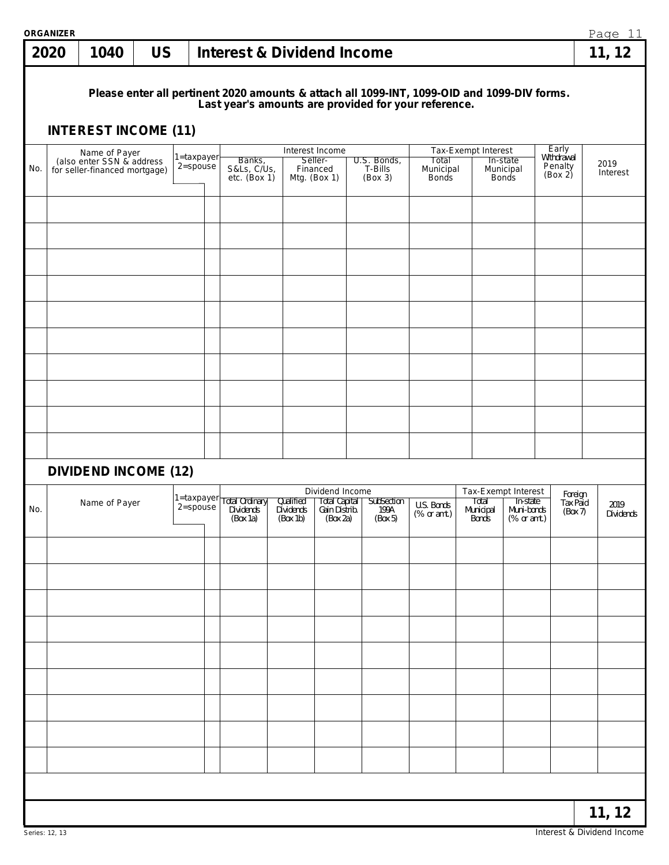|     | <b>ORGANIZER</b> |                                                                             |           |                                |                                                                                                                                                     |           |                                                                                      |                                      |                                    |                     |                                                                              |                                           | Page 11           |
|-----|------------------|-----------------------------------------------------------------------------|-----------|--------------------------------|-----------------------------------------------------------------------------------------------------------------------------------------------------|-----------|--------------------------------------------------------------------------------------|--------------------------------------|------------------------------------|---------------------|------------------------------------------------------------------------------|-------------------------------------------|-------------------|
|     | 2020             | 1040                                                                        | <b>US</b> |                                | <b>Interest &amp; Dividend Income</b>                                                                                                               |           |                                                                                      |                                      |                                    |                     |                                                                              |                                           | 11, 12            |
|     |                  | <b>INTEREST INCOME (11)</b>                                                 |           |                                | Please enter all pertinent 2020 amounts & attach all 1099-INT, 1099-OID and 1099-DIV forms.<br>Last year's amounts are provided for your reference. |           |                                                                                      |                                      |                                    |                     |                                                                              |                                           |                   |
| No. |                  | Name of Payer<br>(also enter SSN & address<br>for seller-financed mortgage) |           | $1 =$ taxpayer<br>$2 =$ spouse | Banks,<br>S&Ls, C/Us,<br>etc. $(Box 1)$                                                                                                             |           | Interest Income<br>Seller-<br>Financed<br>Mtg. (Box 1)                               | U.S. Bonds,<br>T-Bills<br>(Box 3)    | Total<br>Municipal<br><b>Bonds</b> | Tax-Exempt Interest | In-state<br>Municipal<br><b>Bonds</b>                                        | Early<br>Withdrawal<br>Penalty<br>(Box 2) | 2019<br>Interest  |
|     |                  |                                                                             |           |                                |                                                                                                                                                     |           |                                                                                      |                                      |                                    |                     |                                                                              |                                           |                   |
|     |                  |                                                                             |           |                                |                                                                                                                                                     |           |                                                                                      |                                      |                                    |                     |                                                                              |                                           |                   |
|     |                  |                                                                             |           |                                |                                                                                                                                                     |           |                                                                                      |                                      |                                    |                     |                                                                              |                                           |                   |
|     |                  |                                                                             |           |                                |                                                                                                                                                     |           |                                                                                      |                                      |                                    |                     |                                                                              |                                           |                   |
|     |                  |                                                                             |           |                                |                                                                                                                                                     |           |                                                                                      |                                      |                                    |                     |                                                                              |                                           |                   |
|     |                  |                                                                             |           |                                |                                                                                                                                                     |           |                                                                                      |                                      |                                    |                     |                                                                              |                                           |                   |
|     |                  | <b>DIVIDEND INCOME (12)</b>                                                 |           |                                |                                                                                                                                                     |           |                                                                                      |                                      |                                    |                     |                                                                              |                                           |                   |
| No. |                  | Name of Payer                                                               |           |                                | 1=taxpayer Total Ordinary<br>$2 = $ spouse $\left  \begin{array}{c} \text{sum} \\ \text{Dividends} \end{array} \right $<br>(Box 1a)                 | Qualified | Dividend Income<br>  Total Capital  <br>Dividends Gain Distrib.<br>(Box 1b) (Box 2a) | <b>SubSection</b><br>199A<br>(Box 5) | U.S. Bonds<br>$(\%$ or amt.)       | Total               | Tax-Exempt Interest<br>In-state<br>Municipal Muni-bonds<br>Bonds (% or amt.) | Foreign<br>Tax Paid<br>(Box 7)            | 2019<br>Dividends |
|     |                  |                                                                             |           |                                |                                                                                                                                                     |           |                                                                                      |                                      |                                    |                     |                                                                              |                                           |                   |
|     |                  |                                                                             |           |                                |                                                                                                                                                     |           |                                                                                      |                                      |                                    |                     |                                                                              |                                           |                   |
|     |                  |                                                                             |           |                                |                                                                                                                                                     |           |                                                                                      |                                      |                                    |                     |                                                                              |                                           |                   |
|     |                  |                                                                             |           |                                |                                                                                                                                                     |           |                                                                                      |                                      |                                    |                     |                                                                              |                                           |                   |
|     |                  |                                                                             |           |                                |                                                                                                                                                     |           |                                                                                      |                                      |                                    |                     |                                                                              |                                           |                   |
|     |                  |                                                                             |           |                                |                                                                                                                                                     |           |                                                                                      |                                      |                                    |                     |                                                                              |                                           |                   |
|     |                  |                                                                             |           |                                |                                                                                                                                                     |           |                                                                                      |                                      |                                    |                     |                                                                              |                                           |                   |
|     |                  |                                                                             |           |                                |                                                                                                                                                     |           |                                                                                      |                                      |                                    |                     |                                                                              |                                           |                   |
|     |                  |                                                                             |           |                                |                                                                                                                                                     |           |                                                                                      |                                      |                                    |                     |                                                                              |                                           | 11, 12            |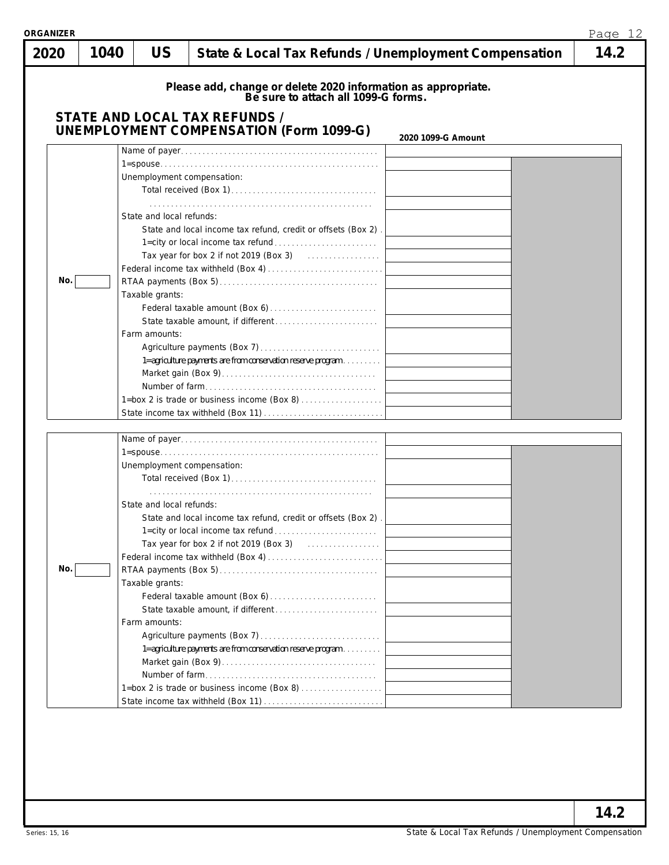| <b>ORGANIZER</b> |      |                                                                                            |                                                                                                                                                                                                                                                                                                                                                                                                                |                    | Page 12 |
|------------------|------|--------------------------------------------------------------------------------------------|----------------------------------------------------------------------------------------------------------------------------------------------------------------------------------------------------------------------------------------------------------------------------------------------------------------------------------------------------------------------------------------------------------------|--------------------|---------|
| 2020             | 1040 | <b>US</b>                                                                                  | State & Local Tax Refunds / Unemployment Compensation                                                                                                                                                                                                                                                                                                                                                          |                    | 14.2    |
|                  |      |                                                                                            | Please add, change or delete 2020 information as appropriate.<br>Be sure to attach all 1099-G forms.<br><b>STATE AND LOCAL TAX REFUNDS /</b><br><b>UNEMPLOYMENT COMPENSATION (Form 1099-G)</b>                                                                                                                                                                                                                 |                    |         |
| No.              |      | Unemployment compensation:<br>State and local refunds:<br>Taxable grants:<br>Farm amounts: | State and local income tax refund, credit or offsets (Box 2).<br>Tax year for box 2 if not 2019 (Box 3) $\ldots$<br>1=agriculture payments are from conservation reserve program<br>1=box 2 is trade or business income (Box 8)                                                                                                                                                                                | 2020 1099-G Amount |         |
| No.              |      | Unemployment compensation:<br>State and local refunds:<br>Taxable grants:<br>Farm amounts: | State and local income tax refund, credit or offsets (Box 2).<br>Tax year for box 2 if not 2019 (Box 3) [10] Case of the Manuscript Case of Taxan and Taxan Superior Taxan Superior Superior Superior Superior Superior Superior Superior Superior Superior Superior Superior Superior Superior<br>1=agriculture payments are from conservation reserve program<br>1=box 2 is trade or business income (Box 8) |                    |         |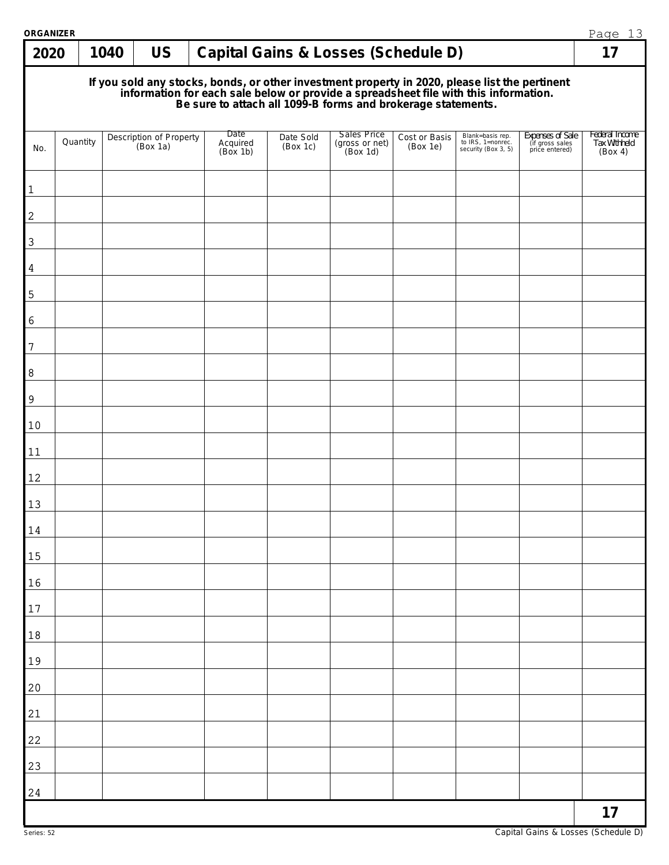| <b>ORGANIZER</b> |          |      |                                     |                              |                       |                                                                                                                                                                                                                                      |                           |                                                              |                                                       | Page 13                                   |
|------------------|----------|------|-------------------------------------|------------------------------|-----------------------|--------------------------------------------------------------------------------------------------------------------------------------------------------------------------------------------------------------------------------------|---------------------------|--------------------------------------------------------------|-------------------------------------------------------|-------------------------------------------|
| 2020             |          | 1040 | <b>US</b>                           |                              |                       | <b>Capital Gains &amp; Losses (Schedule D)</b>                                                                                                                                                                                       |                           |                                                              |                                                       | 17                                        |
|                  |          |      |                                     |                              |                       | If you sold any stocks, bonds, or other investment property in 2020, please list the pertinent<br>information for each sale below or provide a spreadsheet file with this information.<br>Be sure to attach all 1099-B forms and bro |                           |                                                              |                                                       |                                           |
| No.              | Quantity |      | Description of Property<br>(Box 1a) | Date<br>Acquired<br>(Box 1b) | Date Sold<br>(Box 1c) | <b>Sales Price</b><br>$(gross or net)$<br>$(Box 1d)$                                                                                                                                                                                 | Cost or Basis<br>(Box 1e) | Blank=basis rep.<br>to IRS, 1=nonrec.<br>security (Box 3, 5) | Expenses of Sale<br>(if gross sales<br>price entered) | Federal Income<br>Tax Withheld<br>(Box 4) |
| $\mathbf{1}$     |          |      |                                     |                              |                       |                                                                                                                                                                                                                                      |                           |                                                              |                                                       |                                           |
| $\sqrt{2}$       |          |      |                                     |                              |                       |                                                                                                                                                                                                                                      |                           |                                                              |                                                       |                                           |
| 3                |          |      |                                     |                              |                       |                                                                                                                                                                                                                                      |                           |                                                              |                                                       |                                           |
| 4                |          |      |                                     |                              |                       |                                                                                                                                                                                                                                      |                           |                                                              |                                                       |                                           |
| $\mathsf S$      |          |      |                                     |                              |                       |                                                                                                                                                                                                                                      |                           |                                                              |                                                       |                                           |
| 6                |          |      |                                     |                              |                       |                                                                                                                                                                                                                                      |                           |                                                              |                                                       |                                           |
| 7<br>8           |          |      |                                     |                              |                       |                                                                                                                                                                                                                                      |                           |                                                              |                                                       |                                           |
| 9                |          |      |                                     |                              |                       |                                                                                                                                                                                                                                      |                           |                                                              |                                                       |                                           |
| 10               |          |      |                                     |                              |                       |                                                                                                                                                                                                                                      |                           |                                                              |                                                       |                                           |
| 11               |          |      |                                     |                              |                       |                                                                                                                                                                                                                                      |                           |                                                              |                                                       |                                           |
| 12               |          |      |                                     |                              |                       |                                                                                                                                                                                                                                      |                           |                                                              |                                                       |                                           |
| 13               |          |      |                                     |                              |                       |                                                                                                                                                                                                                                      |                           |                                                              |                                                       |                                           |
| 14               |          |      |                                     |                              |                       |                                                                                                                                                                                                                                      |                           |                                                              |                                                       |                                           |
| 15               |          |      |                                     |                              |                       |                                                                                                                                                                                                                                      |                           |                                                              |                                                       |                                           |
| 16<br>$17$       |          |      |                                     |                              |                       |                                                                                                                                                                                                                                      |                           |                                                              |                                                       |                                           |
| 18               |          |      |                                     |                              |                       |                                                                                                                                                                                                                                      |                           |                                                              |                                                       |                                           |
| 19               |          |      |                                     |                              |                       |                                                                                                                                                                                                                                      |                           |                                                              |                                                       |                                           |
| 20               |          |      |                                     |                              |                       |                                                                                                                                                                                                                                      |                           |                                                              |                                                       |                                           |
| 21               |          |      |                                     |                              |                       |                                                                                                                                                                                                                                      |                           |                                                              |                                                       |                                           |
| 22               |          |      |                                     |                              |                       |                                                                                                                                                                                                                                      |                           |                                                              |                                                       |                                           |
| 23               |          |      |                                     |                              |                       |                                                                                                                                                                                                                                      |                           |                                                              |                                                       |                                           |
| 24               |          |      |                                     |                              |                       |                                                                                                                                                                                                                                      |                           |                                                              |                                                       | 17                                        |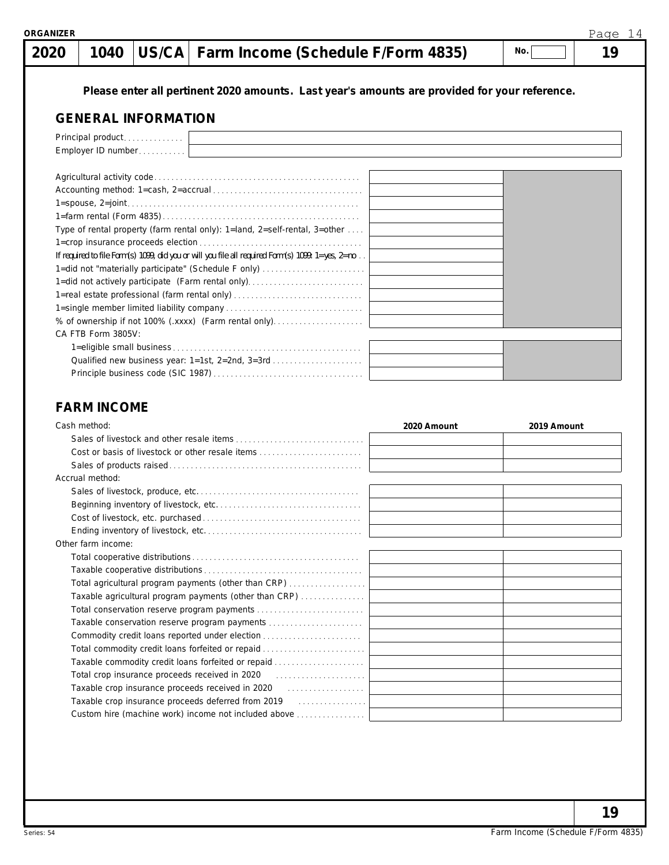# **1040 US/CA Farm Income (Schedule F/Form 4835) 19**

**No.**

**Please enter all pertinent 2020 amounts. Last year's amounts are provided for your reference.**

## **GENERAL INFORMATION**

| Principal product                                                                                            |  |
|--------------------------------------------------------------------------------------------------------------|--|
| Employer ID number                                                                                           |  |
|                                                                                                              |  |
|                                                                                                              |  |
|                                                                                                              |  |
|                                                                                                              |  |
| Type of rental property (farm rental only): 1=land, 2=self-rental, 3=other                                   |  |
|                                                                                                              |  |
| If required to file Form(s) 1099, did you or will you file all required Form(s) 1099: $1 = yes$ , $2 = no$ . |  |
| 1=did not "materially participate" (Schedule F only)                                                         |  |
| 1=did not actively participate (Farm rental only)                                                            |  |
| 1=real estate professional (farm rental only)                                                                |  |
|                                                                                                              |  |
| % of ownership if not 100% (.xxxx) (Farm rental only)                                                        |  |
| CA FTB Form 3805V:                                                                                           |  |
|                                                                                                              |  |
| Qualified new business year: 1=1st, 2=2nd, 3=3rd                                                             |  |
|                                                                                                              |  |
|                                                                                                              |  |

## **FARM INCOME**

| Cash method:                                                                                                              | 2020 Amount | 2019 Amount |
|---------------------------------------------------------------------------------------------------------------------------|-------------|-------------|
|                                                                                                                           |             |             |
|                                                                                                                           |             |             |
|                                                                                                                           |             |             |
| Accrual method:                                                                                                           |             |             |
|                                                                                                                           |             |             |
|                                                                                                                           |             |             |
|                                                                                                                           |             |             |
|                                                                                                                           |             |             |
| Other farm income:                                                                                                        |             |             |
|                                                                                                                           |             |             |
|                                                                                                                           |             |             |
| Total agricultural program payments (other than CRP)                                                                      |             |             |
| Taxable agricultural program payments (other than CRP)                                                                    |             |             |
|                                                                                                                           |             |             |
| Taxable conservation reserve program payments                                                                             |             |             |
| Commodity credit loans reported under election                                                                            |             |             |
| Total commodity credit loans forfeited or repaid                                                                          |             |             |
| Taxable commodity credit loans forfeited or repaid                                                                        |             |             |
| Total crop insurance proceeds received in 2020 [10] [10] Total crop insurance proceeds received in 2020 [10] $\sqrt{2}$   |             |             |
| Taxable crop insurance proceeds received in 2020 [1] [1] [1] Taxable crop insurance proceeds received in 2020             |             |             |
| Taxable crop insurance proceeds deferred from 2019 [10] [10] [10] [10] Taxable crop insurance proceeds deferred from 2019 |             |             |
| Custom hire (machine work) income not included above                                                                      |             |             |

**19**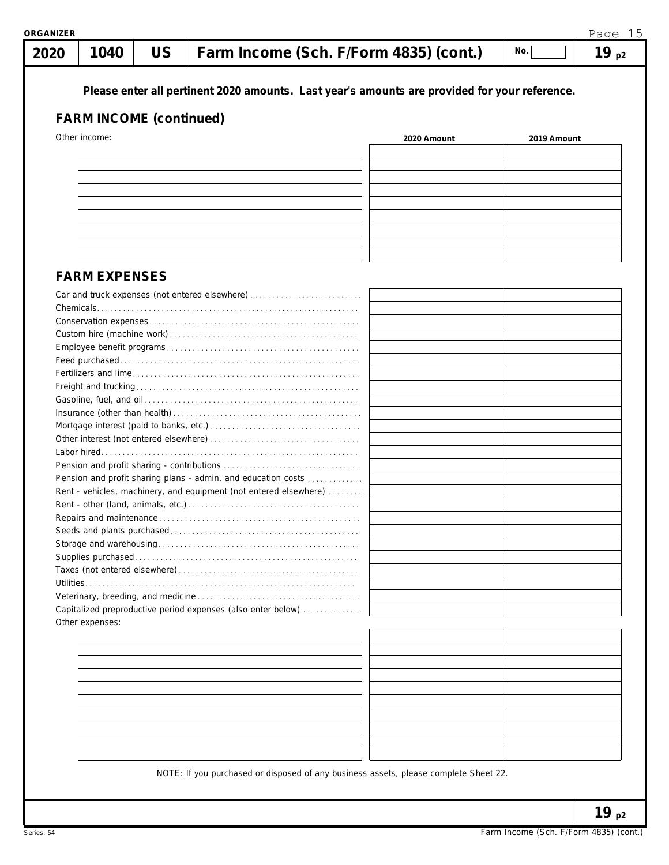| 2020                 | 1040 | <b>US</b>                      | Farm Income (Sch. F/Form 4835) (cont.)                                                        |             | No.         | 19 $p2$ |
|----------------------|------|--------------------------------|-----------------------------------------------------------------------------------------------|-------------|-------------|---------|
|                      |      |                                | Please enter all pertinent 2020 amounts. Last year's amounts are provided for your reference. |             |             |         |
|                      |      | <b>FARM INCOME (continued)</b> |                                                                                               |             |             |         |
| Other income:        |      |                                |                                                                                               | 2020 Amount | 2019 Amount |         |
|                      |      |                                |                                                                                               |             |             |         |
|                      |      |                                |                                                                                               |             |             |         |
|                      |      |                                |                                                                                               |             |             |         |
|                      |      |                                |                                                                                               |             |             |         |
|                      |      |                                |                                                                                               |             |             |         |
|                      |      |                                |                                                                                               |             |             |         |
|                      |      |                                |                                                                                               |             |             |         |
|                      |      |                                |                                                                                               |             |             |         |
| <b>FARM EXPENSES</b> |      |                                |                                                                                               |             |             |         |
|                      |      |                                | Car and truck expenses (not entered elsewhere)                                                |             |             |         |
|                      |      |                                |                                                                                               |             |             |         |
|                      |      |                                |                                                                                               |             |             |         |
|                      |      |                                |                                                                                               |             |             |         |
|                      |      |                                |                                                                                               |             |             |         |
|                      |      |                                |                                                                                               |             |             |         |
|                      |      |                                |                                                                                               |             |             |         |
|                      |      |                                |                                                                                               |             |             |         |
|                      |      |                                |                                                                                               |             |             |         |
|                      |      |                                |                                                                                               |             |             |         |
|                      |      |                                |                                                                                               |             |             |         |
|                      |      |                                |                                                                                               |             |             |         |
|                      |      |                                | Pension and profit sharing plans - admin. and education costs                                 |             |             |         |
|                      |      |                                | Rent - vehicles, machinery, and equipment (not entered elsewhere)                             |             |             |         |
|                      |      |                                |                                                                                               |             |             |         |
|                      |      |                                |                                                                                               |             |             |         |
|                      |      |                                |                                                                                               |             |             |         |
|                      |      |                                |                                                                                               |             |             |         |
|                      |      |                                |                                                                                               |             |             |         |
|                      |      |                                |                                                                                               |             |             |         |
|                      |      |                                |                                                                                               |             |             |         |
| Other expenses:      |      |                                | Capitalized preproductive period expenses (also enter below)                                  |             |             |         |
|                      |      |                                |                                                                                               |             |             |         |
|                      |      |                                |                                                                                               |             |             |         |
|                      |      |                                |                                                                                               |             |             |         |
|                      |      |                                |                                                                                               |             |             |         |
|                      |      |                                |                                                                                               |             |             |         |
|                      |      |                                |                                                                                               |             |             |         |
|                      |      |                                |                                                                                               |             |             |         |
|                      |      |                                |                                                                                               |             |             |         |
|                      |      |                                |                                                                                               |             |             |         |
|                      |      |                                |                                                                                               |             |             |         |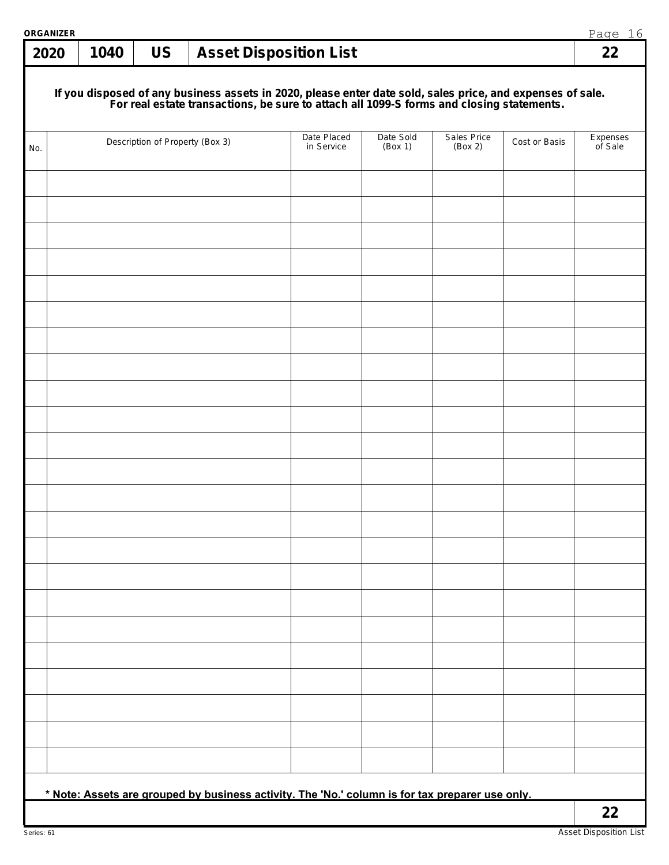| <b>ORGANIZER</b> |      |                                 |                                                                                                                                                                                                        |                      |                        |               | Page 16             |
|------------------|------|---------------------------------|--------------------------------------------------------------------------------------------------------------------------------------------------------------------------------------------------------|----------------------|------------------------|---------------|---------------------|
| 2020             | 1040 | <b>US</b>                       | <b>Asset Disposition List</b>                                                                                                                                                                          |                      |                        |               | 22                  |
|                  |      |                                 | If you disposed of any business assets in 2020, please enter date sold, sales price, and expenses of sale.<br>For real estate transactions, be sure to attach all 1099-S forms and closing statements. |                      |                        |               |                     |
| No.              |      | Description of Property (Box 3) | Date Placed<br>in Service                                                                                                                                                                              | Date Sold<br>(Box 1) | Sales Price<br>(Box 2) | Cost or Basis | Expenses<br>of Sale |
|                  |      |                                 |                                                                                                                                                                                                        |                      |                        |               |                     |
|                  |      |                                 |                                                                                                                                                                                                        |                      |                        |               |                     |
|                  |      |                                 |                                                                                                                                                                                                        |                      |                        |               |                     |
|                  |      |                                 |                                                                                                                                                                                                        |                      |                        |               |                     |
|                  |      |                                 |                                                                                                                                                                                                        |                      |                        |               |                     |
|                  |      |                                 |                                                                                                                                                                                                        |                      |                        |               |                     |
|                  |      |                                 |                                                                                                                                                                                                        |                      |                        |               |                     |
|                  |      |                                 |                                                                                                                                                                                                        |                      |                        |               |                     |
|                  |      |                                 |                                                                                                                                                                                                        |                      |                        |               |                     |
|                  |      |                                 |                                                                                                                                                                                                        |                      |                        |               |                     |
|                  |      |                                 |                                                                                                                                                                                                        |                      |                        |               |                     |
|                  |      |                                 |                                                                                                                                                                                                        |                      |                        |               |                     |
|                  |      |                                 |                                                                                                                                                                                                        |                      |                        |               |                     |
|                  |      |                                 |                                                                                                                                                                                                        |                      |                        |               |                     |
|                  |      |                                 |                                                                                                                                                                                                        |                      |                        |               |                     |
|                  |      |                                 |                                                                                                                                                                                                        |                      |                        |               |                     |
|                  |      |                                 |                                                                                                                                                                                                        |                      |                        |               |                     |
|                  |      |                                 |                                                                                                                                                                                                        |                      |                        |               |                     |
|                  |      |                                 |                                                                                                                                                                                                        |                      |                        |               |                     |
|                  |      |                                 |                                                                                                                                                                                                        |                      |                        |               |                     |
|                  |      |                                 |                                                                                                                                                                                                        |                      |                        |               |                     |
|                  |      |                                 |                                                                                                                                                                                                        |                      |                        |               |                     |
|                  |      |                                 |                                                                                                                                                                                                        |                      |                        |               |                     |
|                  |      |                                 | * Note: Assets are grouped by business activity. The 'No.' column is for tax preparer use only.                                                                                                        |                      |                        |               |                     |
|                  |      |                                 |                                                                                                                                                                                                        |                      |                        |               | 22                  |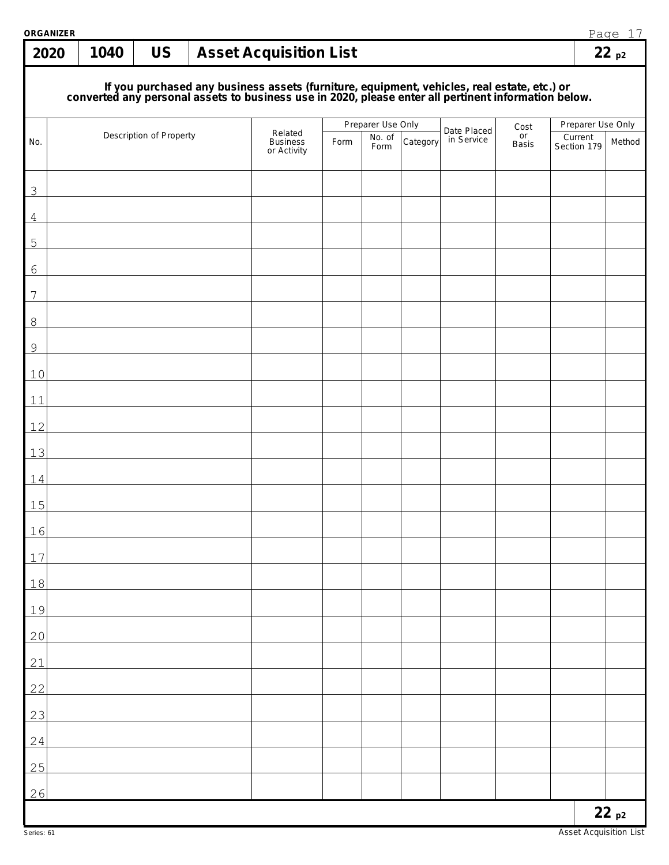| <b>ORGANIZER</b><br>2020 | 1040 | <b>US</b>               | <b>Asset Acquisition List</b>                                                                                                                                                                    |      |                             |          |             |              |                              | Page 17<br>22p2 |
|--------------------------|------|-------------------------|--------------------------------------------------------------------------------------------------------------------------------------------------------------------------------------------------|------|-----------------------------|----------|-------------|--------------|------------------------------|-----------------|
|                          |      |                         |                                                                                                                                                                                                  |      |                             |          |             |              |                              |                 |
|                          |      |                         | If you purchased any business assets (furniture, equipment, vehicles, real estate, etc.) or converted any personal assets to business use in 2020, please enter all pertinent information below. |      |                             |          |             |              |                              |                 |
|                          |      | Description of Property | Related                                                                                                                                                                                          |      | Preparer Use Only<br>No. of |          | Date Placed | Cost<br>or   | Preparer Use Only<br>Current |                 |
| No.                      |      |                         | <b>Business</b><br>or Activity                                                                                                                                                                   | Form | Form                        | Category | in Service  | <b>Basis</b> | Section 179                  | Method          |
| 3                        |      |                         |                                                                                                                                                                                                  |      |                             |          |             |              |                              |                 |
| $\overline{4}$           |      |                         |                                                                                                                                                                                                  |      |                             |          |             |              |                              |                 |
| 5                        |      |                         |                                                                                                                                                                                                  |      |                             |          |             |              |                              |                 |
| 6                        |      |                         |                                                                                                                                                                                                  |      |                             |          |             |              |                              |                 |
| 7                        |      |                         |                                                                                                                                                                                                  |      |                             |          |             |              |                              |                 |
| $8\,$                    |      |                         |                                                                                                                                                                                                  |      |                             |          |             |              |                              |                 |
| $\mathsf 9$              |      |                         |                                                                                                                                                                                                  |      |                             |          |             |              |                              |                 |
| 10                       |      |                         |                                                                                                                                                                                                  |      |                             |          |             |              |                              |                 |
| 11<br>12                 |      |                         |                                                                                                                                                                                                  |      |                             |          |             |              |                              |                 |
| 13                       |      |                         |                                                                                                                                                                                                  |      |                             |          |             |              |                              |                 |
| 14                       |      |                         |                                                                                                                                                                                                  |      |                             |          |             |              |                              |                 |
| 15                       |      |                         |                                                                                                                                                                                                  |      |                             |          |             |              |                              |                 |
| 16                       |      |                         |                                                                                                                                                                                                  |      |                             |          |             |              |                              |                 |
| 17                       |      |                         |                                                                                                                                                                                                  |      |                             |          |             |              |                              |                 |
| 18                       |      |                         |                                                                                                                                                                                                  |      |                             |          |             |              |                              |                 |
| 19                       |      |                         |                                                                                                                                                                                                  |      |                             |          |             |              |                              |                 |
| 20                       |      |                         |                                                                                                                                                                                                  |      |                             |          |             |              |                              |                 |
| 21                       |      |                         |                                                                                                                                                                                                  |      |                             |          |             |              |                              |                 |
| 22                       |      |                         |                                                                                                                                                                                                  |      |                             |          |             |              |                              |                 |
| 23                       |      |                         |                                                                                                                                                                                                  |      |                             |          |             |              |                              |                 |
| 24                       |      |                         |                                                                                                                                                                                                  |      |                             |          |             |              |                              |                 |
| 25                       |      |                         |                                                                                                                                                                                                  |      |                             |          |             |              |                              |                 |
| 26                       |      |                         |                                                                                                                                                                                                  |      |                             |          |             |              |                              | 22p2            |
|                          |      |                         |                                                                                                                                                                                                  |      |                             |          |             |              |                              |                 |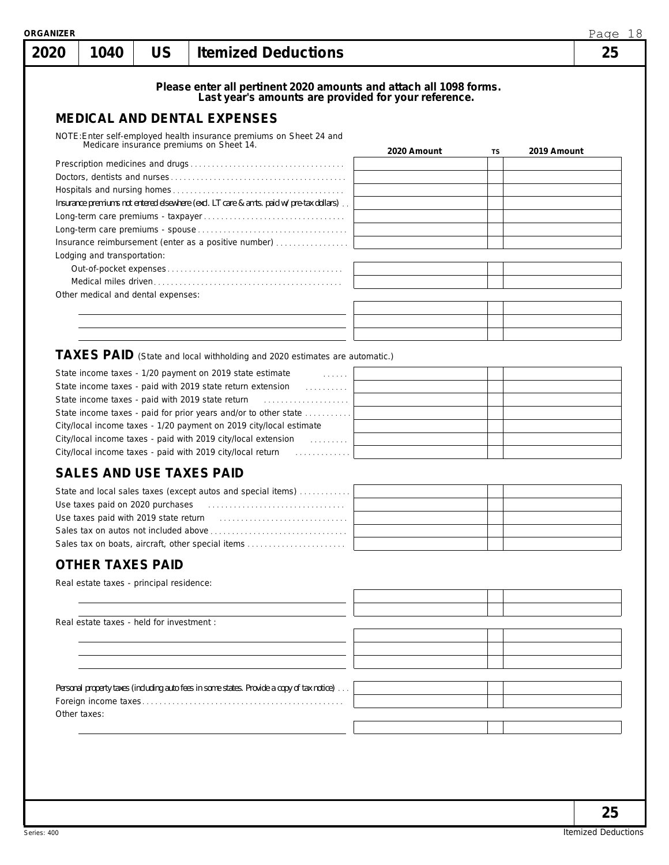| 2020 | 1040                                      | <b>US</b> | <b>Itemized Deductions</b>                                                                                                 |             |    | Page 18<br>25 |
|------|-------------------------------------------|-----------|----------------------------------------------------------------------------------------------------------------------------|-------------|----|---------------|
|      |                                           |           |                                                                                                                            |             |    |               |
|      |                                           |           | Please enter all pertinent 2020 amounts and attach all 1098 forms.<br>Last year's amounts are provided for your reference. |             |    |               |
|      |                                           |           | <b>MEDICAL AND DENTAL EXPENSES</b>                                                                                         |             |    |               |
|      |                                           |           | NOTE: Enter self-employed health insurance premiums on Sheet 24 and                                                        |             |    |               |
|      |                                           |           | Medicare insurance premiums on Sheet 14.                                                                                   | 2020 Amount | TS | 2019 Amount   |
|      |                                           |           |                                                                                                                            |             |    |               |
|      |                                           |           |                                                                                                                            |             |    |               |
|      |                                           |           |                                                                                                                            |             |    |               |
|      |                                           |           | Insurance premiums not entered elsewhere (excl. LT care & amts. paid w/pre-tax dollars)                                    |             |    |               |
|      |                                           |           |                                                                                                                            |             |    |               |
|      |                                           |           | Insurance reimbursement (enter as a positive number)                                                                       |             |    |               |
|      | Lodging and transportation:               |           |                                                                                                                            |             |    |               |
|      |                                           |           |                                                                                                                            |             |    |               |
|      |                                           |           |                                                                                                                            |             |    |               |
|      | Other medical and dental expenses:        |           |                                                                                                                            |             |    |               |
|      |                                           |           |                                                                                                                            |             |    |               |
|      |                                           |           |                                                                                                                            |             |    |               |
|      |                                           |           |                                                                                                                            |             |    |               |
|      |                                           |           | TAXES PAID (State and local withholding and 2020 estimates are automatic.)                                                 |             |    |               |
|      |                                           |           | State income taxes - 1/20 payment on 2019 state estimate<br><b>Communication</b>                                           |             |    |               |
|      |                                           |           | State income taxes - paid with 2019 state return extension<br><u>.</u>                                                     |             |    |               |
|      |                                           |           | State income taxes - paid with 2019 state return                                                                           |             |    |               |
|      |                                           |           | State income taxes - paid for prior years and/or to other state                                                            |             |    |               |
|      |                                           |           | City/local income taxes - 1/20 payment on 2019 city/local estimate                                                         |             |    |               |
|      |                                           |           |                                                                                                                            |             |    |               |
|      |                                           |           |                                                                                                                            |             |    |               |
|      |                                           |           | <b>SALES AND USE TAXES PAID</b>                                                                                            |             |    |               |
|      |                                           |           | State and local sales taxes (except autos and special items)                                                               |             |    |               |
|      |                                           |           |                                                                                                                            |             |    |               |
|      | Use taxes paid with 2019 state return     |           |                                                                                                                            |             |    |               |
|      |                                           |           |                                                                                                                            |             |    |               |
|      |                                           |           | Sales tax on boats, aircraft, other special items                                                                          |             |    |               |
|      | <b>OTHER TAXES PAID</b>                   |           |                                                                                                                            |             |    |               |
|      | Real estate taxes - principal residence:  |           |                                                                                                                            |             |    |               |
|      |                                           |           |                                                                                                                            |             |    |               |
|      |                                           |           |                                                                                                                            |             |    |               |
|      | Real estate taxes - held for investment : |           |                                                                                                                            |             |    |               |
|      |                                           |           |                                                                                                                            |             |    |               |
|      |                                           |           |                                                                                                                            |             |    |               |
|      |                                           |           |                                                                                                                            |             |    |               |
|      |                                           |           |                                                                                                                            |             |    |               |
|      |                                           |           | Personal property taxes (including auto fees in some states. Provide a copy of tax notice)                                 |             |    |               |
|      |                                           |           |                                                                                                                            |             |    |               |
|      | Other taxes:                              |           |                                                                                                                            |             |    |               |
|      |                                           |           |                                                                                                                            |             |    |               |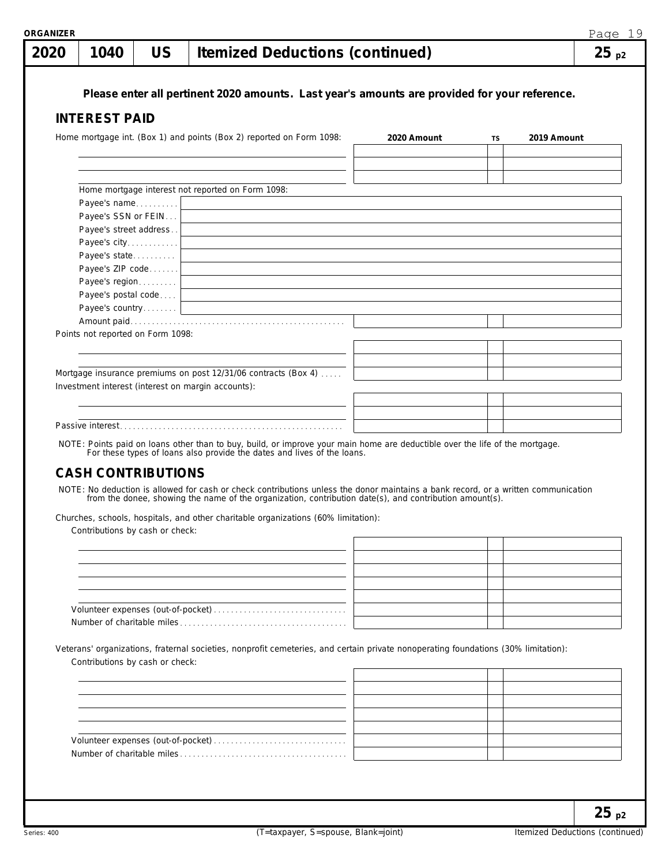| 1040                              | <b>US</b> | <b>Itemized Deductions (continued)</b>                                                                                                                                                                                                                                                                                                                                                                                                                   |             |    | $25_{p2}$   |
|-----------------------------------|-----------|----------------------------------------------------------------------------------------------------------------------------------------------------------------------------------------------------------------------------------------------------------------------------------------------------------------------------------------------------------------------------------------------------------------------------------------------------------|-------------|----|-------------|
|                                   |           | Please enter all pertinent 2020 amounts. Last year's amounts are provided for your reference.                                                                                                                                                                                                                                                                                                                                                            |             |    |             |
| <b>INTEREST PAID</b>              |           |                                                                                                                                                                                                                                                                                                                                                                                                                                                          |             |    |             |
|                                   |           | Home mortgage int. (Box 1) and points (Box 2) reported on Form 1098:                                                                                                                                                                                                                                                                                                                                                                                     | 2020 Amount | TS | 2019 Amount |
|                                   |           |                                                                                                                                                                                                                                                                                                                                                                                                                                                          |             |    |             |
|                                   |           |                                                                                                                                                                                                                                                                                                                                                                                                                                                          |             |    |             |
|                                   |           | Home mortgage interest not reported on Form 1098:                                                                                                                                                                                                                                                                                                                                                                                                        |             |    |             |
| Payee's name                      |           |                                                                                                                                                                                                                                                                                                                                                                                                                                                          |             |    |             |
| Payee's SSN or FEIN               |           |                                                                                                                                                                                                                                                                                                                                                                                                                                                          |             |    |             |
| Payee's street address            |           | <u> 1980 - Johann John Stone, markin fizik eta idazlearia (h. 1980).</u>                                                                                                                                                                                                                                                                                                                                                                                 |             |    |             |
| Payee's city<br>Payee's state     |           |                                                                                                                                                                                                                                                                                                                                                                                                                                                          |             |    |             |
| Payee's ZIP code                  |           | the contract of the contract of the contract of the contract of the contract of the contract of<br>the control of the control of the control of the control of the control of the control of the control of the control of the control of the control of the control of the control of the control of the control of the control                                                                                                                         |             |    |             |
| Payee's region                    |           | the control of the control of the control of the control of the control of the control of the control of the control of the control of the control of the control of the control of the control of the control of the control                                                                                                                                                                                                                            |             |    |             |
| Payee's postal code               |           | the control of the control of the control of the control of the control of the control of the control of the control of the control of the control of the control of the control of the control of the control of the control                                                                                                                                                                                                                            |             |    |             |
|                                   |           |                                                                                                                                                                                                                                                                                                                                                                                                                                                          |             |    |             |
| Points not reported on Form 1098: |           |                                                                                                                                                                                                                                                                                                                                                                                                                                                          |             |    |             |
|                                   |           |                                                                                                                                                                                                                                                                                                                                                                                                                                                          |             |    |             |
|                                   |           |                                                                                                                                                                                                                                                                                                                                                                                                                                                          |             |    |             |
|                                   |           | Mortgage insurance premiums on post 12/31/06 contracts (Box 4)                                                                                                                                                                                                                                                                                                                                                                                           |             |    |             |
|                                   |           | Investment interest (interest on margin accounts):                                                                                                                                                                                                                                                                                                                                                                                                       |             |    |             |
|                                   |           |                                                                                                                                                                                                                                                                                                                                                                                                                                                          |             |    |             |
|                                   |           | <u> 1980 - Johann Stein, marwolaethau a bhann an t-Amhair an t-Amhair an t-Amhair an t-Amhair an t-Amhair an t-A</u>                                                                                                                                                                                                                                                                                                                                     |             |    |             |
| <b>CASH CONTRIBUTIONS</b>         |           | NOTE: Points paid on loans other than to buy, build, or improve your main home are deductible over the life of the mortgage.<br>For these types of loans also provide the dates and lives of the loans.<br>NOTE: No deduction is allowed for cash or check contributions unless the donor maintains a bank record, or a written communication<br>from the donee, showing the name of the organization, contribution date(s), and contribution amount(s). |             |    |             |
|                                   |           |                                                                                                                                                                                                                                                                                                                                                                                                                                                          |             |    |             |
|                                   |           | Churches, schools, hospitals, and other charitable organizations (60% limitation):                                                                                                                                                                                                                                                                                                                                                                       |             |    |             |
| Contributions by cash or check:   |           |                                                                                                                                                                                                                                                                                                                                                                                                                                                          |             |    |             |
|                                   |           |                                                                                                                                                                                                                                                                                                                                                                                                                                                          |             |    |             |
|                                   |           |                                                                                                                                                                                                                                                                                                                                                                                                                                                          |             |    |             |
|                                   |           |                                                                                                                                                                                                                                                                                                                                                                                                                                                          |             |    |             |
|                                   |           |                                                                                                                                                                                                                                                                                                                                                                                                                                                          |             |    |             |
|                                   |           |                                                                                                                                                                                                                                                                                                                                                                                                                                                          |             |    |             |
|                                   |           |                                                                                                                                                                                                                                                                                                                                                                                                                                                          |             |    |             |
|                                   |           | Veterans' organizations, fraternal societies, nonprofit cemeteries, and certain private nonoperating foundations (30% limitation):                                                                                                                                                                                                                                                                                                                       |             |    |             |
| Contributions by cash or check:   |           |                                                                                                                                                                                                                                                                                                                                                                                                                                                          |             |    |             |
|                                   |           |                                                                                                                                                                                                                                                                                                                                                                                                                                                          |             |    |             |
|                                   |           |                                                                                                                                                                                                                                                                                                                                                                                                                                                          |             |    |             |
|                                   |           |                                                                                                                                                                                                                                                                                                                                                                                                                                                          |             |    |             |
|                                   |           |                                                                                                                                                                                                                                                                                                                                                                                                                                                          |             |    |             |
|                                   |           |                                                                                                                                                                                                                                                                                                                                                                                                                                                          |             |    |             |

**25 p2**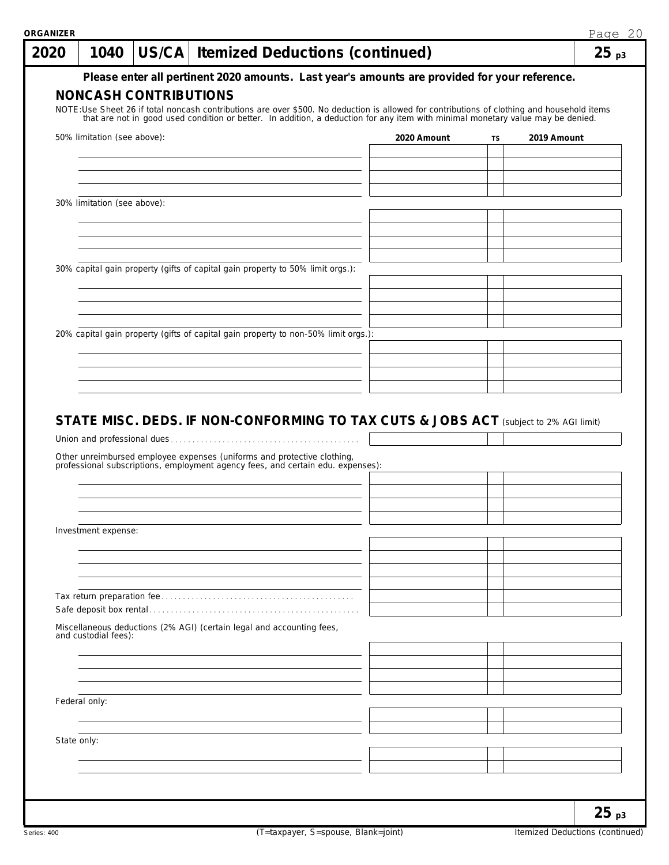| 2020        | 1040                        | US/CA   Itemized Deductions (continued)                                                                                                                                                                                         |  |  |  |             |    |  |             | 25 <sub>p3</sub> |
|-------------|-----------------------------|---------------------------------------------------------------------------------------------------------------------------------------------------------------------------------------------------------------------------------|--|--|--|-------------|----|--|-------------|------------------|
|             |                             | Please enter all pertinent 2020 amounts. Last year's amounts are provided for your reference.                                                                                                                                   |  |  |  |             |    |  |             |                  |
|             |                             | <b>NONCASH CONTRIBUTIONS</b>                                                                                                                                                                                                    |  |  |  |             |    |  |             |                  |
|             |                             | NOTE:Use Sheet 26 if total noncash contributions are over \$500. No deduction is allowed for contributions of clothing and household items that are not in good used condition or better. In addition, a deduction for any item |  |  |  |             |    |  |             |                  |
|             | 50% limitation (see above): |                                                                                                                                                                                                                                 |  |  |  | 2020 Amount | TS |  | 2019 Amount |                  |
|             |                             |                                                                                                                                                                                                                                 |  |  |  |             |    |  |             |                  |
|             |                             |                                                                                                                                                                                                                                 |  |  |  |             |    |  |             |                  |
|             |                             |                                                                                                                                                                                                                                 |  |  |  |             |    |  |             |                  |
|             | 30% limitation (see above): |                                                                                                                                                                                                                                 |  |  |  |             |    |  |             |                  |
|             |                             |                                                                                                                                                                                                                                 |  |  |  |             |    |  |             |                  |
|             |                             |                                                                                                                                                                                                                                 |  |  |  |             |    |  |             |                  |
|             |                             |                                                                                                                                                                                                                                 |  |  |  |             |    |  |             |                  |
|             |                             | 30% capital gain property (gifts of capital gain property to 50% limit orgs.):                                                                                                                                                  |  |  |  |             |    |  |             |                  |
|             |                             |                                                                                                                                                                                                                                 |  |  |  |             |    |  |             |                  |
|             |                             |                                                                                                                                                                                                                                 |  |  |  |             |    |  |             |                  |
|             |                             | 20% capital gain property (gifts of capital gain property to non-50% limit orgs.):                                                                                                                                              |  |  |  |             |    |  |             |                  |
|             |                             |                                                                                                                                                                                                                                 |  |  |  |             |    |  |             |                  |
|             |                             |                                                                                                                                                                                                                                 |  |  |  |             |    |  |             |                  |
|             |                             |                                                                                                                                                                                                                                 |  |  |  |             |    |  |             |                  |
|             |                             | STATE MISC. DEDS. IF NON-CONFORMING TO TAX CUTS & JOBS ACT (subject to 2% AGI limit)                                                                                                                                            |  |  |  |             |    |  |             |                  |
|             |                             | Other unreimbursed employee expenses (uniforms and protective clothing, professional subscriptions, employment agency fees, and certain edu. expenses):                                                                         |  |  |  |             |    |  |             |                  |
|             |                             |                                                                                                                                                                                                                                 |  |  |  |             |    |  |             |                  |
|             |                             |                                                                                                                                                                                                                                 |  |  |  |             |    |  |             |                  |
|             |                             |                                                                                                                                                                                                                                 |  |  |  |             |    |  |             |                  |
|             | Investment expense:         |                                                                                                                                                                                                                                 |  |  |  |             |    |  |             |                  |
|             |                             |                                                                                                                                                                                                                                 |  |  |  |             |    |  |             |                  |
|             |                             |                                                                                                                                                                                                                                 |  |  |  |             |    |  |             |                  |
|             |                             |                                                                                                                                                                                                                                 |  |  |  |             |    |  |             |                  |
|             | and custodial fees):        | Miscellaneous deductions (2% AGI) (certain legal and accounting fees,                                                                                                                                                           |  |  |  |             |    |  |             |                  |
|             |                             |                                                                                                                                                                                                                                 |  |  |  |             |    |  |             |                  |
|             |                             |                                                                                                                                                                                                                                 |  |  |  |             |    |  |             |                  |
|             |                             |                                                                                                                                                                                                                                 |  |  |  |             |    |  |             |                  |
|             | Federal only:               |                                                                                                                                                                                                                                 |  |  |  |             |    |  |             |                  |
|             |                             |                                                                                                                                                                                                                                 |  |  |  |             |    |  |             |                  |
| State only: |                             |                                                                                                                                                                                                                                 |  |  |  |             |    |  |             |                  |
|             |                             |                                                                                                                                                                                                                                 |  |  |  |             |    |  |             |                  |